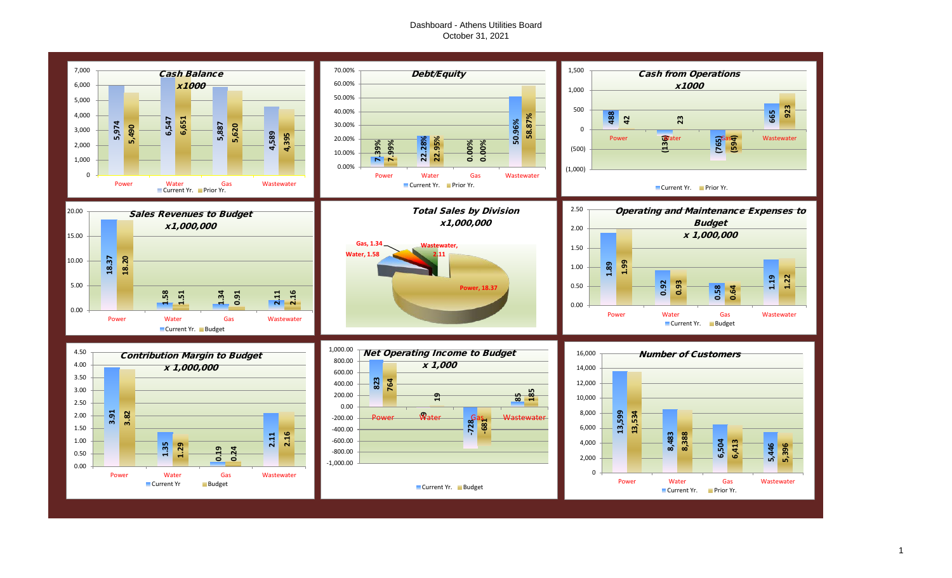## Dashboard - Athens Utilities Board October 31, 2021

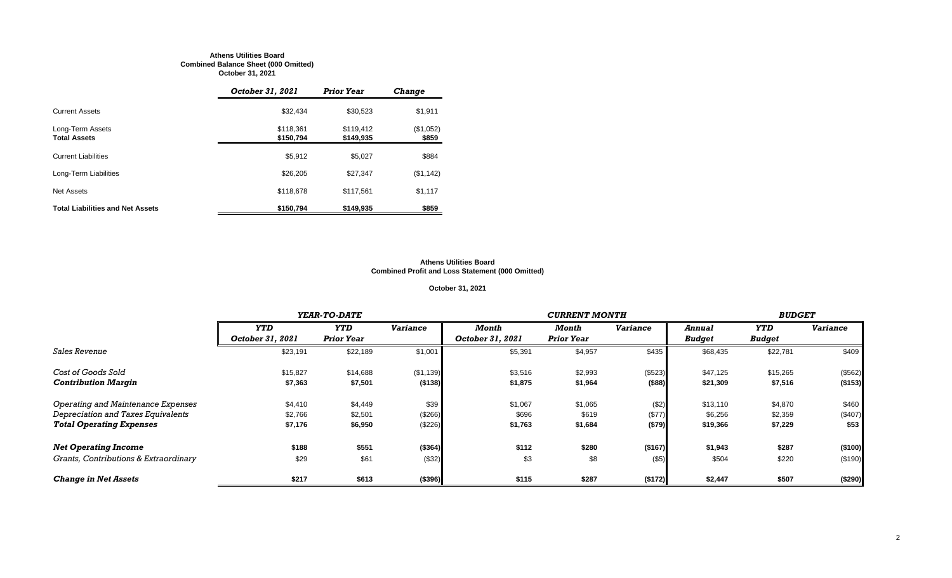#### **Athens Utilities Board Combined Balance Sheet (000 Omitted) October 31, 2021**

|                                         | October 31, 2021       | <b>Prior Year</b>      | <b>Change</b>      |
|-----------------------------------------|------------------------|------------------------|--------------------|
| <b>Current Assets</b>                   | \$32.434               | \$30,523               | \$1,911            |
| Long-Term Assets<br><b>Total Assets</b> | \$118,361<br>\$150,794 | \$119.412<br>\$149,935 | (\$1,052)<br>\$859 |
| <b>Current Liabilities</b>              | \$5,912                | \$5.027                | \$884              |
| Long-Term Liabilities                   | \$26,205               | \$27,347               | (\$1,142)          |
| <b>Net Assets</b>                       | \$118,678              | \$117,561              | \$1,117            |
| <b>Total Liabilities and Net Assets</b> | \$150,794              | \$149,935              | \$859              |

#### **Athens Utilities Board Combined Profit and Loss Statement (000 Omitted)**

## **October 31, 2021**

|                                       |                  | YEAR-TO-DATE      |                 |                  |                   | <b>BUDGET</b>   |               |               |                 |
|---------------------------------------|------------------|-------------------|-----------------|------------------|-------------------|-----------------|---------------|---------------|-----------------|
|                                       | <b>YTD</b>       | <b>YTD</b>        | <b>Variance</b> | Month            | Month             | <b>Variance</b> | <b>Annual</b> | YTD           | <b>Variance</b> |
|                                       | October 31, 2021 | <b>Prior Year</b> |                 | October 31, 2021 | <b>Prior Year</b> |                 | <b>Budget</b> | <b>Budget</b> |                 |
| <b>Sales Revenue</b>                  | \$23,191         | \$22,189          | \$1,001         | \$5,391          | \$4,957           | \$435           | \$68,435      | \$22,781      | \$409           |
| Cost of Goods Sold                    | \$15,827         | \$14,688          | (\$1,139)       | \$3,516          | \$2,993           | (\$523)         | \$47,125      | \$15,265      | (\$562)         |
| <b>Contribution Margin</b>            | \$7,363          | \$7,501           | (\$138)         | \$1,875          | \$1,964           | (\$88)          | \$21,309      | \$7,516       | (\$153)         |
| Operating and Maintenance Expenses    | \$4,410          | \$4,449           | \$39            | \$1,067          | \$1,065           | ( \$2)          | \$13,110      | \$4,870       | \$460           |
| Depreciation and Taxes Equivalents    | \$2,766          | \$2,501           | (\$266)         | \$696            | \$619             | (\$77)          | \$6,256       | \$2,359       | (\$407)         |
| <b>Total Operating Expenses</b>       | \$7,176          | \$6,950           | (\$226)         | \$1,763          | \$1,684           | (\$79)          | \$19,366      | \$7,229       | \$53            |
| <b>Net Operating Income</b>           | \$188            | \$551             | (\$364)         | \$112            | \$280             | (\$167)         | \$1,943       | \$287         | (\$100)         |
| Grants, Contributions & Extraordinary | \$29             | \$61              | (\$32)          | \$3              | \$8               | $($ \$5)        | \$504         | \$220         | (\$190)         |
| <b>Change in Net Assets</b>           | \$217            | \$613             | (\$396)         | \$115            | \$287             | (\$172)         | \$2,447       | \$507         | (\$290)         |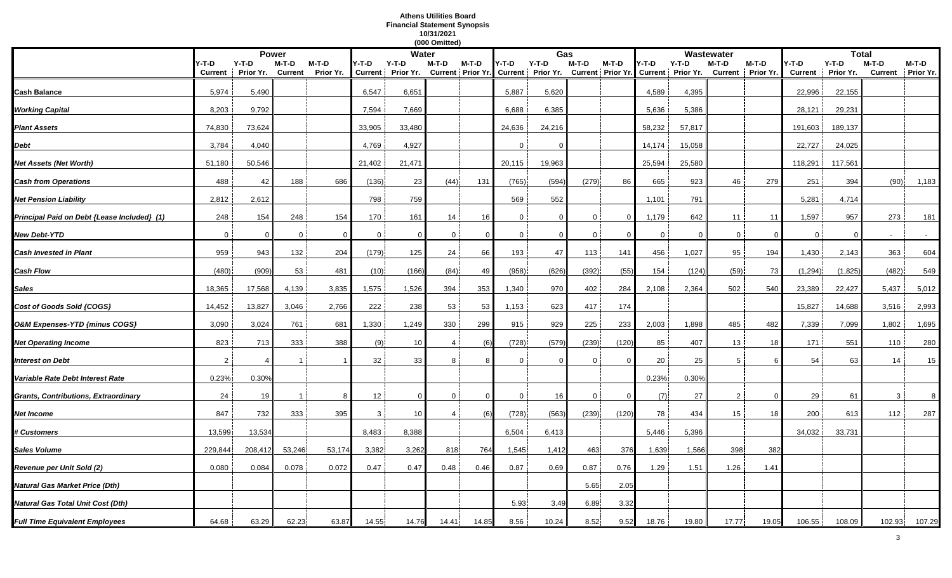#### **Athens Utilities Board Financial Statement Synopsis 10/31/2021 (000 Omitted)**

|                                             |                |           |                |           |                | (000 Omitted)<br><b>Water</b> |                |          | Gas          |                                                                 |              | Wastewater |             |                   |                | <b>Total</b>      |                |           |         |           |
|---------------------------------------------|----------------|-----------|----------------|-----------|----------------|-------------------------------|----------------|----------|--------------|-----------------------------------------------------------------|--------------|------------|-------------|-------------------|----------------|-------------------|----------------|-----------|---------|-----------|
|                                             |                | Power     |                |           |                |                               |                |          |              |                                                                 |              |            |             |                   |                |                   |                |           |         |           |
|                                             | Y-T-D          | $Y-T-D$   | M-T-D          | M-T-D     | Y-T-D          | Y-T-D                         | M-T-D          | M-T-D    | Y-T-D        | $Y-T-D$                                                         | M-T-D        | M-T-D      | Y-T-D       | Y-T-D             | M-T-D          | $M-T-D$           | /-T-D          | $Y-T-D$   | $M-T-D$ | M-T-D     |
|                                             | <b>Current</b> | Prior Yr. | <b>Current</b> | Prior Yr. | <b>Current</b> | Prior Yr.                     |                |          |              | Current   Prior Yr.   Current   Prior Yr.   Current   Prior Yr. |              |            |             | Current Prior Yr. |                | Current Prior Yr. | <b>Current</b> | Prior Yr. | Current | Prior Yr. |
| <b>Cash Balance</b>                         | 5,974          | 5,490     |                |           | 6,547          | 6,651                         |                |          | 5,887        | 5,620                                                           |              |            | 4,589       | 4,395             |                |                   | 22,996         | 22,155    |         |           |
| <b>Working Capital</b>                      | 8,203          | 9,792     |                |           | 7,594          | 7,669                         |                |          | 6,688        | 6,385                                                           |              |            | 5,636       | 5,386             |                |                   | 28,121         | 29,231    |         |           |
| <b>Plant Assets</b>                         | 74,830         | 73,624    |                |           | 33,905         | 33,480                        |                |          | 24,636       | 24,216                                                          |              |            | 58,232      | 57,817            |                |                   | 191,603        | 189,137   |         |           |
| Debt                                        | 3,784          | 4,040     |                |           | 4,769          | 4,927                         |                |          | 0            | $\Omega$                                                        |              |            | 14,174      | 15,058            |                |                   | 22,727         | 24,025    |         |           |
| Net Assets (Net Worth)                      | 51,180         | 50,546    |                |           | 21,402         | 21,471                        |                |          | 20,115       | 19,963                                                          |              |            | 25,594      | 25,580            |                |                   | 118,291        | 117,561   |         |           |
| <b>Cash from Operations</b>                 | 488            | 42        | 188            | 686       | (136)          | 23                            | (44)           | 131      | (765)        | (594)                                                           | (279)        | 86         | 665         | 923               | 46             | 279               | 251            | 394       | (90)    | 1,183     |
| <b>Net Pension Liability</b>                | 2,812          | 2,612     |                |           | 798            | 759                           |                |          | 569          | 552                                                             |              |            | 1,101       | 791               |                |                   | 5,281          | 4,714     |         |           |
| Principal Paid on Debt {Lease Included} (1) | 248            | 154       | 248            | 154       | 170            | 161                           | 14             | 16       | $\mathbf 0$  | $\Omega$                                                        | $\mathbf 0$  | - 0        | 1,179       | 642               | 11             | 11                | 1,597          | 957       | 273     | 181       |
| <b>New Debt-YTD</b>                         | $\mathbf 0$    | $\Omega$  | $\mathbf{0}$   | - 0       | $\mathbf 0$    | $\Omega$                      | $\mathbf 0$    | $\Omega$ | $\mathbf 0$  | $\Omega$                                                        | $\mathbf{0}$ |            | $\mathbf 0$ | $\Omega$          | $\mathbf 0$    | $\Omega$          | $\Omega$       | $\Omega$  |         |           |
| <b>Cash Invested in Plant</b>               | 959            | 943       | 132            | 204       | (179)          | 125                           | 24             | 66       | 193          | 47                                                              | 113          | 141        | 456         | 1,027             | 95             | 194               | 1,430          | 2,143     | 363     | 604       |
| Cash Flow                                   | (480)          | (909)     | 53             | 481       | (10)           | (166)                         | (84)           | 49       | (958)        | (626)                                                           | (392)        | (55)       | 154         | (124)             | (59)           | 73                | (1, 294)       | (1,825)   | (482)   | 549       |
| Sales                                       | 18,365         | 17,568    | 4,139          | 3,835     | 1,575          | 1,526                         | 394            | 353      | 1,340        | 970                                                             | 402          | 284        | 2,108       | 2,364             | 502            | 540               | 23,389         | 22,427    | 5,437   | 5,012     |
| Cost of Goods Sold {COGS}                   | 14,452         | 13,827    | 3,046          | 2,766     | 222            | 238                           | 53             | 53       | 1,153        | 623                                                             | 417          | 174        |             |                   |                |                   | 15,827         | 14,688    | 3,516   | 2,993     |
| O&M Expenses-YTD {minus COGS}               | 3,090          | 3,024     | 761            | 681       | 1,330          | 1,249                         | 330            | 299      | 915          | 929                                                             | 225          | 233        | 2,003       | 1,898             | 485            | 482               | 7,339          | 7,099     | 1,802   | 1,695     |
| <b>Net Operating Income</b>                 | 823            | 713       | 333            | 388       | (9)            | 10                            | $\overline{4}$ | (6       | (728)        | (579)                                                           | (239)        | (120)      | 85          | 407               | 13             | 18                | 171            | 551       | 110     | 280       |
| Interest on Debt                            | $\mathcal{P}$  | $\Delta$  |                |           | 32             | 33                            | 8              |          | $\Omega$     | $\Omega$                                                        | $\Omega$     |            | 20          | 25                | 5              | -6                | 54             | 63        | 14      | 15        |
| Variable Rate Debt Interest Rate            | 0.23%          | 0.30%     |                |           |                |                               |                |          |              |                                                                 |              |            | 0.23%       | 0.30%             |                |                   |                |           |         |           |
| Grants, Contributions, Extraordinary        | 24             | 19        |                | -8        | 12             | $\Omega$                      | 0              | $\Omega$ | $\mathbf{0}$ | 16                                                              | $\mathbf 0$  |            | (7)         | 27                | $\overline{2}$ | $\Omega$          | 29             | 61        | 3       | 8         |
| Net Income                                  | 847            | 732       | 333            | 395       | 3              | 10                            | 4              | (6)      | (728)        | (563)                                                           | (239)        | (120)      | 78          | 434               | 15             | 18                | 200            | 613       | 112     | 287       |
| <b># Customers</b>                          | 13,599         | 13,534    |                |           | 8,483          | 8,388                         |                |          | 6,504        | 6,413                                                           |              |            | 5,446       | 5,396             |                |                   | 34,032         | 33,731    |         |           |
| Sales Volume                                | 229,844        | 208,412   | 53,246         | 53,174    | 3,382          | 3,262                         | 818            | 764      | 1,545        | 1,412                                                           | 463          | 376        | 1,639       | 1,566             | 398            | 382               |                |           |         |           |
| Revenue per Unit Sold (2)                   | 0.080          | 0.084     | 0.078          | 0.072     | 0.47           | 0.47                          | 0.48           | 0.46     | 0.87         | 0.69                                                            | 0.87         | 0.76       | 1.29        | 1.51              | 1.26           | 1.41              |                |           |         |           |
| Natural Gas Market Price (Dth)              |                |           |                |           |                |                               |                |          |              |                                                                 | 5.65         | 2.05       |             |                   |                |                   |                |           |         |           |
| Natural Gas Total Unit Cost (Dth)           |                |           |                |           |                |                               |                |          | 5.93         | 3.49                                                            | 6.89         | 3.32       |             |                   |                |                   |                |           |         |           |
| <b>Full Time Equivalent Employees</b>       | 64.68          | 63.29     | 62.23          | 63.87     | 14.55          | 14.76                         | 14.41          | 14.85    | 8.56         | 10.24                                                           | 8.52         | 9.52       | 18.76       | 19.80             | 17.77          | 19.05             | 106.55         | 108.09    | 102.93  | 107.29    |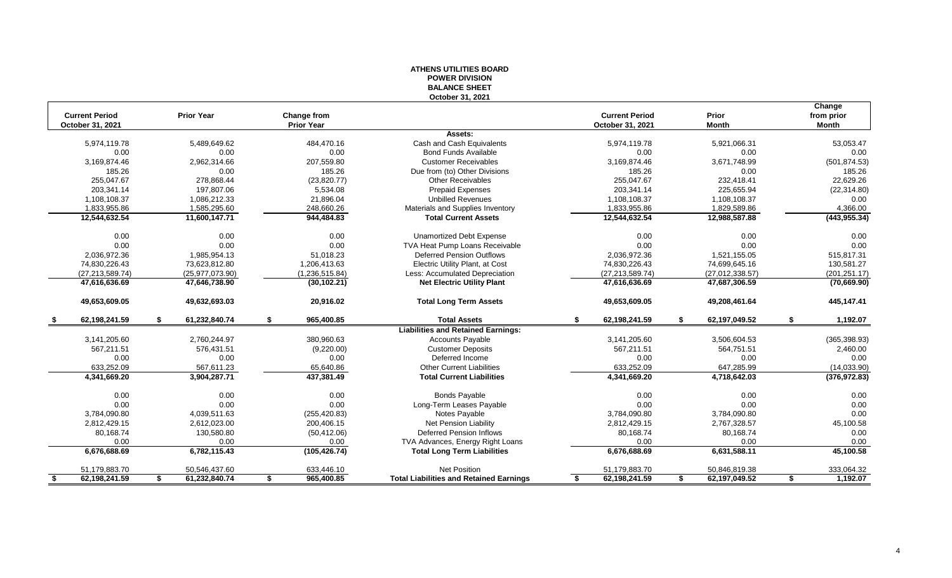### **ATHENS UTILITIES BOARD POWER DIVISION BALANCE SHEET October 31, 2021**

|                       |                     |                    |                                                |                       |                     | Change         |
|-----------------------|---------------------|--------------------|------------------------------------------------|-----------------------|---------------------|----------------|
| <b>Current Period</b> | <b>Prior Year</b>   | <b>Change from</b> |                                                | <b>Current Period</b> | Prior               | from prior     |
| October 31, 2021      |                     | <b>Prior Year</b>  |                                                | October 31, 2021      | <b>Month</b>        | <b>Month</b>   |
|                       |                     |                    | Assets:                                        |                       |                     |                |
| 5,974,119.78          | 5,489,649.62        | 484,470.16         | Cash and Cash Equivalents                      | 5,974,119.78          | 5,921,066.31        | 53,053.47      |
| 0.00                  | 0.00                | 0.00               | <b>Bond Funds Available</b>                    | 0.00                  | 0.00                | 0.00           |
| 3,169,874.46          | 2,962,314.66        | 207,559.80         | <b>Customer Receivables</b>                    | 3,169,874.46          | 3,671,748.99        | (501, 874.53)  |
| 185.26                | 0.00                | 185.26             | Due from (to) Other Divisions                  | 185.26                | 0.00                | 185.26         |
| 255,047.67            | 278,868.44          | (23, 820.77)       | <b>Other Receivables</b>                       | 255,047.67            | 232,418.41          | 22,629.26      |
| 203,341.14            | 197,807.06          | 5,534.08           | <b>Prepaid Expenses</b>                        | 203,341.14            | 225,655.94          | (22, 314.80)   |
| 1,108,108.37          | 1,086,212.33        | 21,896.04          | <b>Unbilled Revenues</b>                       | 1,108,108.37          | 1,108,108.37        | 0.00           |
| 1,833,955.86          | 1,585,295.60        | 248,660.26         | Materials and Supplies Inventory               | 1,833,955.86          | 1,829,589.86        | 4,366.00       |
| 12,544,632.54         | 11,600,147.71       | 944,484.83         | <b>Total Current Assets</b>                    | 12,544,632.54         | 12,988,587.88       | (443, 955.34)  |
| 0.00                  | 0.00                | 0.00               | <b>Unamortized Debt Expense</b>                | 0.00                  | 0.00                | 0.00           |
| 0.00                  | 0.00                | 0.00               | TVA Heat Pump Loans Receivable                 | 0.00                  | 0.00                | 0.00           |
| 2,036,972.36          | 1,985,954.13        | 51,018.23          | <b>Deferred Pension Outflows</b>               | 2,036,972.36          | 1,521,155.05        | 515,817.31     |
| 74,830,226.43         | 73,623,812.80       | 1,206,413.63       | Electric Utility Plant, at Cost                | 74,830,226.43         | 74,699,645.16       | 130,581.27     |
| (27, 213, 589.74)     | (25, 977, 073.90)   | (1,236,515.84)     | Less: Accumulated Depreciation                 | (27, 213, 589.74)     | (27,012,338.57)     | (201, 251.17)  |
| 47,616,636.69         | 47,646,738.90       | (30, 102.21)       | <b>Net Electric Utility Plant</b>              | 47,616,636.69         | 47,687,306.59       | (70, 669.90)   |
| 49,653,609.05         | 49,632,693.03       | 20,916.02          | <b>Total Long Term Assets</b>                  | 49,653,609.05         | 49,208,461.64       | 445,147.41     |
| 62,198,241.59<br>- \$ | \$<br>61,232,840.74 | \$<br>965,400.85   | <b>Total Assets</b>                            | \$<br>62,198,241.59   | \$<br>62,197,049.52 | \$<br>1,192.07 |
|                       |                     |                    | <b>Liabilities and Retained Earnings:</b>      |                       |                     |                |
| 3,141,205.60          | 2,760,244.97        | 380,960.63         | <b>Accounts Payable</b>                        | 3,141,205.60          | 3,506,604.53        | (365, 398.93)  |
| 567,211.51            | 576,431.51          | (9,220.00)         | <b>Customer Deposits</b>                       | 567,211.51            | 564,751.51          | 2,460.00       |
| 0.00                  | 0.00                | 0.00               | Deferred Income                                | 0.00                  | 0.00                | 0.00           |
| 633,252.09            | 567,611.23          | 65,640.86          | Other Current Liabilities                      | 633,252.09            | 647,285.99          | (14,033.90)    |
| 4,341,669.20          | 3,904,287.71        | 437,381.49         | <b>Total Current Liabilities</b>               | 4,341,669.20          | 4,718,642.03        | (376, 972.83)  |
| 0.00                  | 0.00                | 0.00               | <b>Bonds Payable</b>                           | 0.00                  | 0.00                | 0.00           |
| 0.00                  | 0.00                | 0.00               | Long-Term Leases Payable                       | 0.00                  | 0.00                | 0.00           |
| 3,784,090.80          | 4,039,511.63        | (255, 420.83)      | Notes Payable                                  | 3,784,090.80          | 3,784,090.80        | 0.00           |
| 2,812,429.15          | 2,612,023.00        | 200,406.15         | Net Pension Liability                          | 2,812,429.15          | 2,767,328.57        | 45,100.58      |
| 80,168.74             | 130,580.80          | (50, 412.06)       | <b>Deferred Pension Inflows</b>                | 80,168.74             | 80,168.74           | 0.00           |
| 0.00                  | 0.00                | 0.00               | TVA Advances, Energy Right Loans               | 0.00                  | 0.00                | 0.00           |
| 6,676,688.69          | 6,782,115.43        | (105, 426.74)      | <b>Total Long Term Liabilities</b>             | 6,676,688.69          | 6,631,588.11        | 45,100.58      |
| 51,179,883.70         | 50,546,437.60       | 633,446.10         | Net Position                                   | 51,179,883.70         | 50,846,819.38       | 333,064.32     |
| 62,198,241.59<br>\$   | 61,232,840.74<br>\$ | 965,400.85<br>\$   | <b>Total Liabilities and Retained Earnings</b> | 62,198,241.59<br>\$.  | 62,197,049.52<br>\$ | 1,192.07<br>\$ |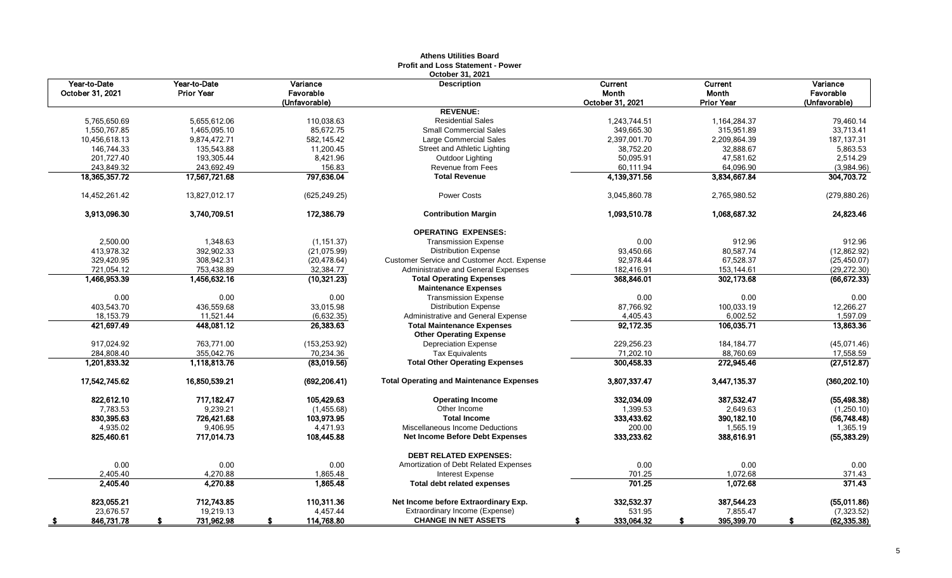|                                  |                                   |                                        | <b>Profit and Loss Statement - Power</b><br>October 31, 2021        |                                      |                                              |                                        |
|----------------------------------|-----------------------------------|----------------------------------------|---------------------------------------------------------------------|--------------------------------------|----------------------------------------------|----------------------------------------|
| Year-to-Date<br>October 31, 2021 | Year-to-Date<br><b>Prior Year</b> | Variance<br>Favorable<br>(Unfavorable) | <b>Description</b>                                                  | Current<br>Month<br>October 31, 2021 | <b>Current</b><br>Month<br><b>Prior Year</b> | Variance<br>Favorable<br>(Unfavorable) |
|                                  |                                   |                                        | <b>REVENUE:</b>                                                     |                                      |                                              |                                        |
| 5.765.650.69                     | 5,655,612.06                      | 110,038.63                             | <b>Residential Sales</b>                                            | 1,243,744.51                         | 1,164,284.37                                 | 79.460.14                              |
| 1,550,767.85                     | 1,465,095.10                      | 85,672.75                              | <b>Small Commercial Sales</b>                                       | 349,665.30                           | 315,951.89                                   | 33,713.41                              |
| 10,456,618.13                    | 9,874,472.71                      | 582,145.42                             | <b>Large Commercial Sales</b>                                       | 2,397,001.70                         | 2,209,864.39                                 | 187, 137.31                            |
| 146,744.33                       | 135,543.88                        | 11,200.45                              | Street and Athletic Lighting                                        | 38,752.20                            | 32,888.67                                    | 5,863.53                               |
| 201,727.40                       | 193,305.44                        | 8,421.96                               | Outdoor Lighting                                                    | 50,095.91                            | 47,581.62                                    | 2,514.29                               |
| 243,849.32                       | 243,692.49                        | 156.83                                 | <b>Revenue from Fees</b>                                            | 60,111.94                            | 64,096.90                                    | (3,984.96)                             |
| 18,365,357.72                    | 17,567,721.68                     | 797,636.04                             | <b>Total Revenue</b>                                                | 4,139,371.56                         | 3,834,667.84                                 | 304,703.72                             |
| 14,452,261.42                    | 13,827,012.17                     | (625, 249.25)                          | <b>Power Costs</b>                                                  | 3,045,860.78                         | 2,765,980.52                                 | (279, 880.26)                          |
| 3,913,096.30                     | 3,740,709.51                      | 172,386.79                             | <b>Contribution Margin</b>                                          | 1,093,510.78                         | 1,068,687.32                                 | 24,823.46                              |
|                                  |                                   |                                        | <b>OPERATING EXPENSES:</b>                                          |                                      |                                              |                                        |
| 2,500.00                         | 1,348.63                          | (1, 151.37)                            | <b>Transmission Expense</b>                                         | 0.00                                 | 912.96                                       | 912.96                                 |
| 413,978.32                       | 392,902.33                        | (21, 075.99)                           | <b>Distribution Expense</b>                                         | 93,450.66                            | 80,587.74                                    | (12, 862.92)                           |
| 329,420.95                       | 308,942.31                        | (20, 478.64)                           | <b>Customer Service and Customer Acct. Expense</b>                  | 92,978.44                            | 67,528.37                                    | (25, 450.07)                           |
| 721.054.12                       | 753.438.89                        | 32.384.77                              | Administrative and General Expenses                                 | 182.416.91                           | 153,144.61                                   | (29.272.30)                            |
| 1,466,953.39                     | 1,456,632.16                      | (10, 321.23)                           | <b>Total Operating Expenses</b><br><b>Maintenance Expenses</b>      | 368,846.01                           | 302,173.68                                   | (66, 672.33)                           |
| 0.00                             | 0.00                              | 0.00                                   | <b>Transmission Expense</b>                                         | 0.00                                 | 0.00                                         | 0.00                                   |
| 403,543.70                       | 436,559.68                        | 33,015.98                              | <b>Distribution Expense</b>                                         | 87,766.92                            | 100,033.19                                   | 12,266.27                              |
| 18,153.79                        | 11,521.44                         | (6,632.35)                             | Administrative and General Expense                                  | 4,405.43                             | 6,002.52                                     | 1,597.09                               |
| 421,697.49                       | 448,081.12                        | 26,383.63                              | <b>Total Maintenance Expenses</b><br><b>Other Operating Expense</b> | 92,172.35                            | 106,035.71                                   | 13,863.36                              |
| 917.024.92                       | 763.771.00                        | (153, 253.92)                          | <b>Depreciation Expense</b>                                         | 229,256.23                           | 184, 184. 77                                 | (45,071.46)                            |
| 284,808.40                       | 355,042.76                        | 70,234.36                              | <b>Tax Equivalents</b>                                              | 71,202.10                            | 88,760.69                                    | 17,558.59                              |
| 1,201,833.32                     | 1,118,813.76                      | (83,019.56)                            | <b>Total Other Operating Expenses</b>                               | 300,458.33                           | 272,945.46                                   | (27, 512.87)                           |
| 17,542,745.62                    | 16,850,539.21                     | (692, 206.41)                          | <b>Total Operating and Maintenance Expenses</b>                     | 3,807,337.47                         | 3,447,135.37                                 | (360, 202.10)                          |
| 822,612.10                       | 717,182.47                        | 105,429.63                             | <b>Operating Income</b>                                             | 332,034.09                           | 387,532.47                                   | (55, 498.38)                           |
| 7.783.53                         | 9,239.21                          | (1,455.68)                             | Other Income                                                        | 1,399.53                             | 2,649.63                                     | (1,250.10)                             |
| 830,395.63                       | 726.421.68                        | 103.973.95                             | <b>Total Income</b>                                                 | 333,433.62                           | 390.182.10                                   | (56,748.48)                            |
| 4,935.02                         | 9,406.95                          | 4,471.93                               | Miscellaneous Income Deductions                                     | 200.00                               | 1,565.19                                     | 1,365.19                               |
| 825,460.61                       | 717,014.73                        | 108,445.88                             | Net Income Before Debt Expenses                                     | 333,233.62                           | 388,616.91                                   | (55, 383.29)                           |
|                                  |                                   |                                        | <b>DEBT RELATED EXPENSES:</b>                                       |                                      |                                              |                                        |
| 0.00                             | 0.00                              | 0.00                                   | Amortization of Debt Related Expenses                               | 0.00                                 | 0.00                                         | 0.00                                   |
| 2.405.40                         | 4,270.88                          | 1,865.48                               | <b>Interest Expense</b>                                             | 701.25                               | 1,072.68                                     | 371.43                                 |
| 2,405.40                         | 4,270.88                          | 1,865.48                               | <b>Total debt related expenses</b>                                  | 701.25                               | 1,072.68                                     | 371.43                                 |
| 823.055.21                       | 712.743.85                        | 110.311.36                             | Net Income before Extraordinary Exp.                                | 332.532.37                           | 387,544.23                                   | (55,011.86)                            |
| 23,676.57                        | 19,219.13                         | 4,457.44                               | Extraordinary Income (Expense)                                      | 531.95                               | 7,855.47                                     | (7, 323.52)                            |
| 846,731.78<br>- \$               | 731,962.98                        | 114,768.80                             | <b>CHANGE IN NET ASSETS</b>                                         | 333,064.32<br>\$                     | 395,399.70                                   | (62, 335.38)                           |

# **Athens Utilities Board**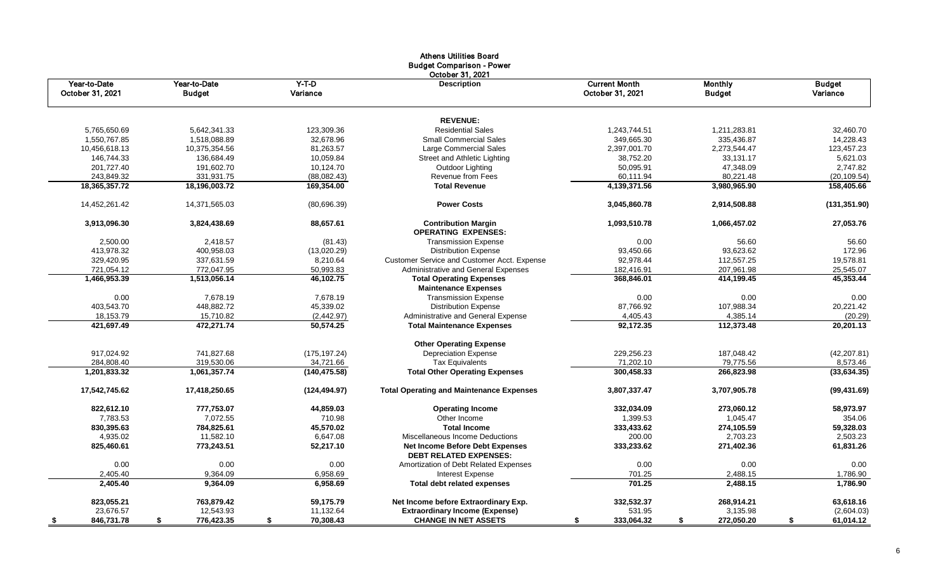|                                  |                               |                     | Athens Utilities Board<br><b>Budget Comparison - Power</b>              |                                          |                                 |                           |
|----------------------------------|-------------------------------|---------------------|-------------------------------------------------------------------------|------------------------------------------|---------------------------------|---------------------------|
| Year-to-Date<br>October 31, 2021 | Year-to-Date<br><b>Budget</b> | $Y-T-D$<br>Variance | October 31, 2021<br><b>Description</b>                                  | <b>Current Month</b><br>October 31, 2021 | <b>Monthly</b><br><b>Budget</b> | <b>Budget</b><br>Variance |
|                                  |                               |                     | <b>REVENUE:</b>                                                         |                                          |                                 |                           |
| 5,765,650.69                     | 5,642,341.33                  | 123,309.36          | <b>Residential Sales</b>                                                | 1,243,744.51                             | 1,211,283.81                    | 32,460.70                 |
| 1.550.767.85                     | 1.518.088.89                  | 32.678.96           | <b>Small Commercial Sales</b>                                           | 349.665.30                               | 335,436.87                      | 14,228.43                 |
| 10,456,618.13                    | 10,375,354.56                 | 81,263.57           | <b>Large Commercial Sales</b>                                           | 2,397,001.70                             | 2,273,544.47                    | 123,457.23                |
| 146,744.33                       | 136,684.49                    | 10,059.84           | Street and Athletic Lighting                                            | 38,752.20                                | 33,131.17                       | 5,621.03                  |
| 201,727.40                       | 191,602.70                    | 10,124.70           | Outdoor Lighting                                                        | 50,095.91                                | 47,348.09                       | 2,747.82                  |
| 243,849.32                       | 331,931.75                    | (88,082.43)         | <b>Revenue from Fees</b>                                                | 60,111.94                                | 80,221.48                       | (20, 109.54)              |
| 18, 365, 357. 72                 | 18,196,003.72                 | 169,354.00          | <b>Total Revenue</b>                                                    | 4,139,371.56                             | 3,980,965.90                    | 158,405.66                |
| 14,452,261.42                    | 14,371,565.03                 | (80,696.39)         | <b>Power Costs</b>                                                      | 3,045,860.78                             | 2,914,508.88                    | (131, 351.90)             |
| 3,913,096.30                     | 3,824,438.69                  | 88,657.61           | <b>Contribution Margin</b><br><b>OPERATING EXPENSES:</b>                | 1,093,510.78                             | 1,066,457.02                    | 27,053.76                 |
| 2,500.00                         | 2,418.57                      | (81.43)             | <b>Transmission Expense</b>                                             | 0.00                                     | 56.60                           | 56.60                     |
| 413,978.32                       | 400,958.03                    | (13,020.29)         | <b>Distribution Expense</b>                                             | 93,450.66                                | 93,623.62                       | 172.96                    |
| 329,420.95                       | 337,631.59                    | 8,210.64            | <b>Customer Service and Customer Acct. Expense</b>                      | 92,978.44                                | 112,557.25                      | 19,578.81                 |
| 721,054.12                       | 772,047.95                    | 50,993.83           | Administrative and General Expenses                                     | 182,416.91                               | 207,961.98                      | 25,545.07                 |
| 1,466,953.39                     | 1,513,056.14                  | 46,102.75           | <b>Total Operating Expenses</b>                                         | 368,846.01                               | 414,199.45                      | 45,353.44                 |
|                                  |                               |                     | <b>Maintenance Expenses</b>                                             |                                          |                                 |                           |
| 0.00                             | 7,678.19                      | 7,678.19            | <b>Transmission Expense</b>                                             | 0.00                                     | 0.00                            | 0.00                      |
| 403,543.70                       | 448,882.72                    | 45,339.02           | <b>Distribution Expense</b>                                             | 87,766.92                                | 107,988.34                      | 20,221.42                 |
| 18,153.79                        | 15,710.82                     | (2,442.97)          | Administrative and General Expense                                      | 4,405.43                                 | 4,385.14                        | (20.29)                   |
| 421,697.49                       | 472,271.74                    | 50,574.25           | <b>Total Maintenance Expenses</b>                                       | 92,172.35                                | 112,373.48                      | 20,201.13                 |
|                                  |                               |                     | <b>Other Operating Expense</b>                                          |                                          |                                 |                           |
| 917,024.92                       | 741,827.68                    | (175, 197.24)       | <b>Depreciation Expense</b>                                             | 229,256.23                               | 187,048.42                      | (42, 207.81)              |
| 284,808.40                       | 319,530.06                    | 34,721.66           | <b>Tax Equivalents</b>                                                  | 71,202.10                                | 79,775.56                       | 8,573.46                  |
| 1,201,833.32                     | 1,061,357.74                  | (140, 475.58)       | <b>Total Other Operating Expenses</b>                                   | 300,458.33                               | 266,823.98                      | (33, 634.35)              |
| 17,542,745.62                    | 17,418,250.65                 | (124, 494.97)       | <b>Total Operating and Maintenance Expenses</b>                         | 3,807,337.47                             | 3,707,905.78                    | (99, 431.69)              |
| 822,612.10                       | 777,753.07                    | 44,859.03           | <b>Operating Income</b>                                                 | 332,034.09                               | 273.060.12                      | 58,973.97                 |
| 7,783.53                         | 7,072.55                      | 710.98              | Other Income                                                            | 1,399.53                                 | 1,045.47                        | 354.06                    |
| 830,395.63                       | 784,825.61                    | 45,570.02           | <b>Total Income</b>                                                     | 333,433.62                               | 274,105.59                      | 59,328.03                 |
| 4,935.02                         | 11,582.10                     | 6,647.08            | Miscellaneous Income Deductions                                         | 200.00                                   | 2,703.23                        | 2,503.23                  |
| 825,460.61                       | 773,243.51                    | 52,217.10           | <b>Net Income Before Debt Expenses</b><br><b>DEBT RELATED EXPENSES:</b> | 333,233.62                               | 271,402.36                      | 61,831.26                 |
| 0.00                             | 0.00                          | 0.00                | Amortization of Debt Related Expenses                                   | 0.00                                     | 0.00                            | 0.00                      |
| 2,405.40                         | 9.364.09                      | 6,958.69            | <b>Interest Expense</b>                                                 | 701.25                                   | 2,488.15                        | 1,786.90                  |
| 2,405.40                         | 9,364.09                      | 6,958.69            | <b>Total debt related expenses</b>                                      | 701.25                                   | 2,488.15                        | 1,786.90                  |
| 823,055.21                       | 763,879.42                    | 59,175.79           | Net Income before Extraordinary Exp.                                    | 332,532.37                               | 268,914.21                      | 63,618.16                 |
| 23,676.57                        | 12,543.93                     | 11,132.64           | <b>Extraordinary Income (Expense)</b>                                   | 531.95                                   | 3,135.98                        | (2,604.03)                |
| 846,731.78                       | 776,423.35<br>\$              | 70,308.43<br>\$     | <b>CHANGE IN NET ASSETS</b>                                             | 333,064.32<br>\$                         | 272,050.20<br>\$                | \$<br>61,014.12           |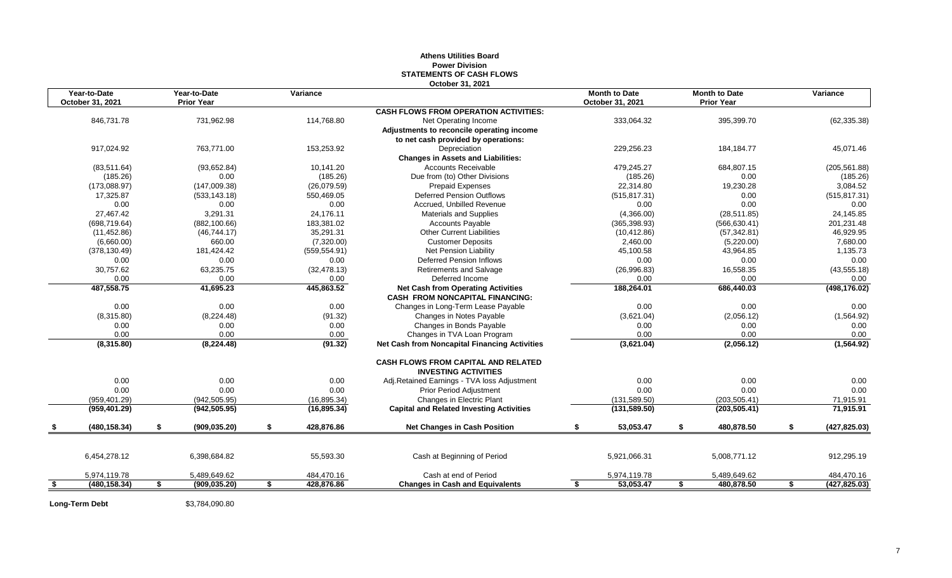#### **Athens Utilities Board Power Division STATEMENTS OF CASH FLOWS October 31, 2021**

|      | Year-to-Date<br>October 31, 2021 | Year-to-Date<br><b>Prior Year</b> | Variance         |                                                                              | <b>Month to Date</b><br>October 31, 2021 | <b>Month to Date</b><br><b>Prior Year</b> | Variance            |
|------|----------------------------------|-----------------------------------|------------------|------------------------------------------------------------------------------|------------------------------------------|-------------------------------------------|---------------------|
|      |                                  |                                   |                  | <b>CASH FLOWS FROM OPERATION ACTIVITIES:</b>                                 |                                          |                                           |                     |
|      | 846,731.78                       | 731,962.98                        | 114,768.80       | Net Operating Income                                                         | 333,064.32                               | 395,399.70                                | (62, 335.38)        |
|      |                                  |                                   |                  | Adjustments to reconcile operating income                                    |                                          |                                           |                     |
|      |                                  |                                   |                  | to net cash provided by operations:                                          |                                          |                                           |                     |
|      | 917.024.92                       | 763.771.00                        | 153,253.92       | Depreciation                                                                 | 229,256.23                               | 184, 184. 77                              | 45,071.46           |
|      |                                  |                                   |                  | <b>Changes in Assets and Liabilities:</b>                                    |                                          |                                           |                     |
|      | (83, 511.64)                     | (93, 652.84)                      | 10,141.20        | <b>Accounts Receivable</b>                                                   | 479,245.27                               | 684,807.15                                | (205, 561.88)       |
|      | (185.26)                         | 0.00                              | (185.26)         | Due from (to) Other Divisions                                                | (185.26)                                 | 0.00                                      | (185.26)            |
|      | (173,088.97)                     | (147,009.38)                      | (26,079.59)      | <b>Prepaid Expenses</b>                                                      | 22,314.80                                | 19,230.28                                 | 3,084.52            |
|      | 17,325.87                        | (533, 143.18)                     | 550,469.05       | <b>Deferred Pension Outflows</b>                                             | (515, 817.31)                            | 0.00                                      | (515, 817.31)       |
|      | 0.00                             | 0.00                              | 0.00             | Accrued, Unbilled Revenue                                                    | 0.00                                     | 0.00                                      | 0.00                |
|      | 27,467.42                        | 3,291.31                          | 24,176.11        | <b>Materials and Supplies</b>                                                | (4,366.00)                               | (28, 511.85)                              | 24,145.85           |
|      | (698, 719.64)                    | (882, 100.66)                     | 183,381.02       | <b>Accounts Payable</b>                                                      | (365, 398.93)                            | (566, 630.41)                             | 201,231.48          |
|      | (11, 452.86)                     | (46, 744.17)                      | 35,291.31        | <b>Other Current Liabilities</b>                                             | (10, 412.86)                             | (57, 342.81)                              | 46,929.95           |
|      | (6,660.00)                       | 660.00                            | (7,320.00)       | <b>Customer Deposits</b>                                                     | 2,460.00                                 | (5,220.00)                                | 7,680.00            |
|      | (378, 130.49)                    | 181,424.42                        | (559, 554.91)    | <b>Net Pension Liability</b>                                                 | 45,100.58                                | 43,964.85                                 | 1,135.73            |
|      | 0.00                             | 0.00                              | 0.00             | <b>Deferred Pension Inflows</b>                                              | 0.00                                     | 0.00                                      | 0.00                |
|      | 30,757.62                        | 63,235.75                         | (32, 478.13)     | Retirements and Salvage                                                      | (26,996.83)                              | 16,558.35                                 | (43, 555.18)        |
|      | 0.00                             | 0.00                              | 0.00             | Deferred Income                                                              | 0.00                                     | 0.00                                      | 0.00                |
|      | 487,558.75                       | 41,695.23                         | 445,863.52       | <b>Net Cash from Operating Activities</b><br>CASH FROM NONCAPITAL FINANCING: | 188,264.01                               | 686,440.03                                | (498, 176.02)       |
|      | 0.00                             | 0.00                              | 0.00             | Changes in Long-Term Lease Payable                                           | 0.00                                     | 0.00                                      | 0.00                |
|      | (8,315.80)                       | (8,224.48)                        | (91.32)          | Changes in Notes Payable                                                     | (3,621.04)                               | (2,056.12)                                | (1,564.92)          |
|      | 0.00                             | 0.00                              | 0.00             | Changes in Bonds Payable                                                     | 0.00                                     | 0.00                                      | 0.00                |
|      | 0.00                             | 0.00                              | 0.00             | Changes in TVA Loan Program                                                  | 0.00                                     | 0.00                                      | 0.00                |
|      | (8,315.80)                       | (8, 224.48)                       | (91.32)          | Net Cash from Noncapital Financing Activities                                | (3,621.04)                               | (2,056.12)                                | (1,564.92)          |
|      |                                  |                                   |                  | CASH FLOWS FROM CAPITAL AND RELATED<br><b>INVESTING ACTIVITIES</b>           |                                          |                                           |                     |
|      | 0.00                             | 0.00                              | 0.00             | Adj.Retained Earnings - TVA loss Adjustment                                  | 0.00                                     | 0.00                                      | 0.00                |
|      | 0.00                             | 0.00                              | 0.00             | <b>Prior Period Adjustment</b>                                               | 0.00                                     | 0.00                                      | 0.00                |
|      | (959, 401.29)                    | (942, 505.95)                     | (16, 895.34)     | Changes in Electric Plant                                                    | (131, 589.50)                            | (203, 505.41)                             | 71,915.91           |
|      | (959, 401.29)                    | (942, 505.95)                     | (16, 895.34)     | <b>Capital and Related Investing Activities</b>                              | (131, 589.50)                            | (203, 505.41)                             | 71,915.91           |
|      | (480, 158.34)                    | \$<br>(909, 035.20)               | \$<br>428,876.86 | <b>Net Changes in Cash Position</b>                                          | \$<br>53,053.47                          | \$<br>480,878.50                          | \$<br>(427, 825.03) |
|      |                                  |                                   |                  |                                                                              |                                          |                                           |                     |
|      | 6,454,278.12                     | 6,398,684.82                      | 55,593.30        | Cash at Beginning of Period                                                  | 5,921,066.31                             | 5,008,771.12                              | 912,295.19          |
|      | 5,974,119.78                     | 5,489,649.62                      | 484,470.16       | Cash at end of Period                                                        | 5,974,119.78                             | 5,489,649.62                              | 484,470.16          |
| - \$ | (480, 158.34)                    | \$<br>(909, 035.20)               | \$<br>428,876.86 | <b>Changes in Cash and Equivalents</b>                                       | \$<br>53,053.47                          | \$<br>480.878.50                          | \$<br>(427, 825.03) |

**Long-Term Debt** \$3,784,090.80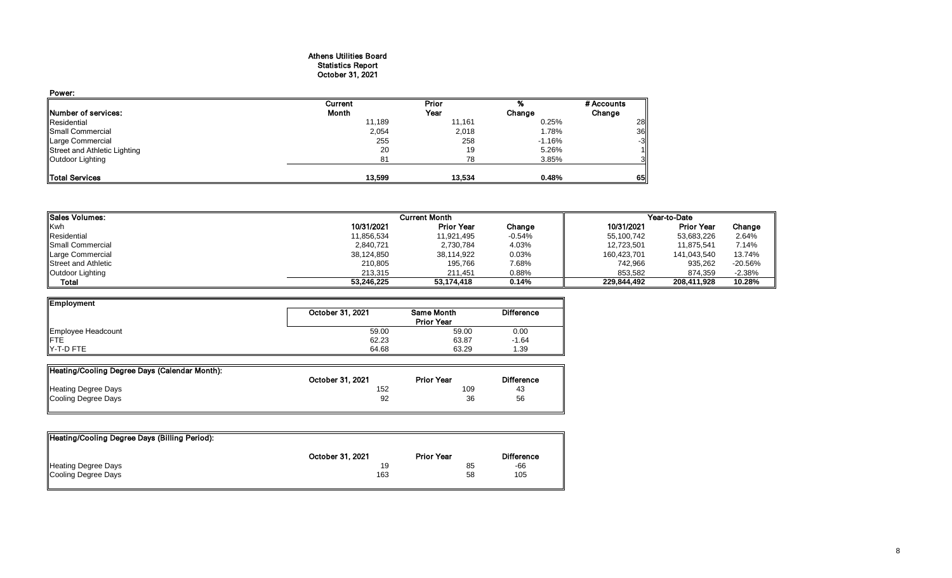## Athens Utilities Board Statistics Report October 31, 2021

| Power:                       |         |        |          |            |
|------------------------------|---------|--------|----------|------------|
|                              | Current | Prior  |          | # Accounts |
| Number of services:          | Month   | Year   | Change   | Change     |
| Residential                  | 11,189  | 11,161 | 0.25%    | 28         |
| Small Commercial             | 2,054   | 2,018  | 1.78%    | 36         |
| Large Commercial             | 255     | 258    | $-1.16%$ | $-3$       |
| Street and Athletic Lighting | 20      | 19     | 5.26%    |            |
| Outdoor Lighting             | 81      | 78     | 3.85%    | 31         |
|                              |         |        |          |            |
| <b>Total Services</b>        | 13,599  | 13,534 | 0.48%    | 65         |

| Sales Volumes:          | <b>Current Month</b> | Year-to-Date      |          |             |                   |           |
|-------------------------|----------------------|-------------------|----------|-------------|-------------------|-----------|
| <b>Kwh</b>              | 10/31/2021           | <b>Prior Year</b> | Change   | 10/31/2021  | <b>Prior Year</b> | Change    |
| Residential             | 11,856,534           | 11,921,495        | $-0.54%$ | 55,100,742  | 53,683,226        | 2.64%     |
| <b>Small Commercial</b> | 2,840,721            | 2,730,784         | 4.03%    | 12,723,501  | 11.875.541        | 7.14%     |
| Large Commercial        | 38,124,850           | 38,114,922        | 0.03%    | 160,423,701 | 141,043,540       | 13.74%    |
| Street and Athletic     | 210.805              | 195,766           | 7.68%    | 742,966     | 935,262           | $-20.56%$ |
| Outdoor Lighting        | 213.315              | 211.451           | 0.88%    | 853.582     | 874.359           | $-2.38%$  |
| <b>Total</b>            | 53.246.225           | 53.174.418        | 0.14%    | 229.844.492 | 208.411.928       | 10.28%    |

| Employment         |                  |                   |                   |
|--------------------|------------------|-------------------|-------------------|
|                    | October 31, 2021 | <b>Same Month</b> | <b>Difference</b> |
|                    |                  | <b>Prior Year</b> |                   |
| Employee Headcount | 59.00            | 59.00             | 0.00              |
| <b>IFTE</b>        | 62.23            | 63.87             | $-1.64$           |
| IY-T-D FTE         | 64.68            | 63.29             | 1.39              |

| Heating/Cooling Degree Days (Calendar Month): |                  |                   |                   |
|-----------------------------------------------|------------------|-------------------|-------------------|
|                                               | October 31, 2021 | <b>Prior Year</b> | <b>Difference</b> |
| <b>Heating Degree Days</b>                    | 152              | 109               | 43                |
| Cooling Degree Days                           | 92               | 36                | 56                |
|                                               |                  |                   |                   |

| Heating/Cooling Degree Days (Billing Period): |                  |                   |                   |
|-----------------------------------------------|------------------|-------------------|-------------------|
|                                               | October 31, 2021 | <b>Prior Year</b> | <b>Difference</b> |
| Heating Degree Days                           | 19               | 85                | -66               |
| Cooling Degree Days                           | 163              | 58                | 105               |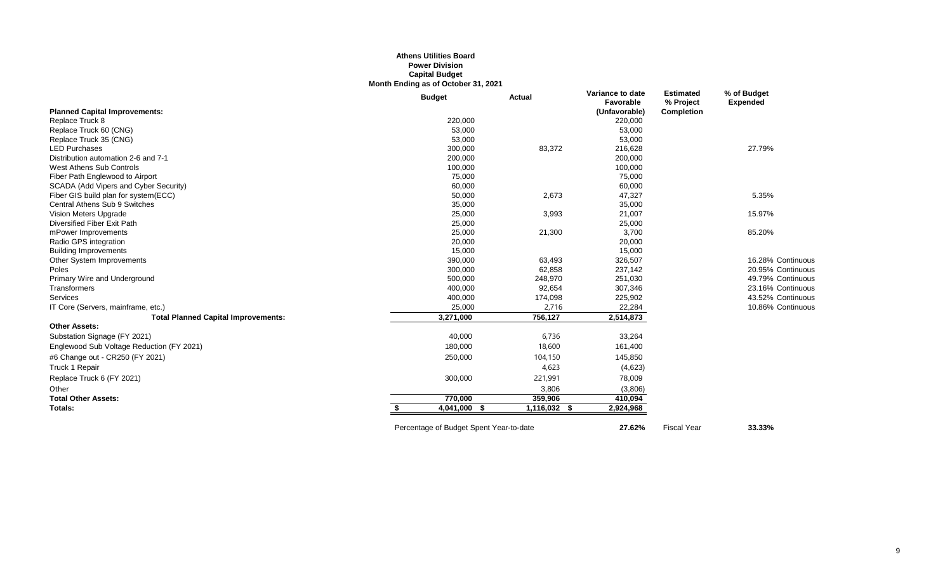#### **Athens Utilities Board Power Division Capital Budget Month Ending as of October 31, 2021**

|                                            | <b>Budget</b>             | Actual       | Variance to date<br>Favorable | <b>Estimated</b><br>% Project | % of Budget<br><b>Expended</b> |
|--------------------------------------------|---------------------------|--------------|-------------------------------|-------------------------------|--------------------------------|
| <b>Planned Capital Improvements:</b>       |                           |              | (Unfavorable)                 | <b>Completion</b>             |                                |
| Replace Truck 8                            | 220,000                   |              | 220,000                       |                               |                                |
| Replace Truck 60 (CNG)                     | 53,000                    |              | 53,000                        |                               |                                |
| Replace Truck 35 (CNG)                     | 53,000                    |              | 53,000                        |                               |                                |
| <b>LED Purchases</b>                       | 300,000                   | 83,372       | 216,628                       |                               | 27.79%                         |
| Distribution automation 2-6 and 7-1        | 200,000                   |              | 200,000                       |                               |                                |
| West Athens Sub Controls                   | 100,000                   |              | 100,000                       |                               |                                |
| Fiber Path Englewood to Airport            | 75,000                    |              | 75,000                        |                               |                                |
| SCADA (Add Vipers and Cyber Security)      | 60,000                    |              | 60,000                        |                               |                                |
| Fiber GIS build plan for system(ECC)       | 50,000                    | 2,673        | 47,327                        |                               | 5.35%                          |
| <b>Central Athens Sub 9 Switches</b>       | 35,000                    |              | 35,000                        |                               |                                |
| Vision Meters Upgrade                      | 25,000                    | 3,993        | 21,007                        |                               | 15.97%                         |
| Diversified Fiber Exit Path                | 25,000                    |              | 25,000                        |                               |                                |
| mPower Improvements                        | 25,000                    | 21,300       | 3,700                         |                               | 85.20%                         |
| Radio GPS integration                      | 20,000                    |              | 20,000                        |                               |                                |
| <b>Building Improvements</b>               | 15,000                    |              | 15,000                        |                               |                                |
| Other System Improvements                  | 390,000                   | 63,493       | 326,507                       |                               | 16.28% Continuous              |
| Poles                                      | 300,000                   | 62,858       | 237,142                       |                               | 20.95% Continuous              |
| Primary Wire and Underground               | 500,000                   | 248,970      | 251,030                       |                               | 49.79% Continuous              |
| Transformers                               | 400,000                   | 92,654       | 307,346                       |                               | 23.16% Continuous              |
| Services                                   | 400,000                   | 174,098      | 225,902                       |                               | 43.52% Continuous              |
| IT Core (Servers, mainframe, etc.)         | 25,000                    | 2,716        | 22,284                        |                               | 10.86% Continuous              |
| <b>Total Planned Capital Improvements:</b> | 3,271,000                 | 756,127      | 2,514,873                     |                               |                                |
| <b>Other Assets:</b>                       |                           |              |                               |                               |                                |
| Substation Signage (FY 2021)               | 40,000                    | 6,736        | 33,264                        |                               |                                |
| Englewood Sub Voltage Reduction (FY 2021)  | 180,000                   | 18,600       | 161,400                       |                               |                                |
| #6 Change out - CR250 (FY 2021)            | 250,000                   | 104,150      | 145,850                       |                               |                                |
| Truck 1 Repair                             |                           | 4,623        | (4,623)                       |                               |                                |
| Replace Truck 6 (FY 2021)                  | 300,000                   | 221,991      | 78,009                        |                               |                                |
| Other                                      |                           | 3,806        | (3,806)                       |                               |                                |
| <b>Total Other Assets:</b>                 | 770,000                   | 359,906      | 410,094                       |                               |                                |
| Totals:                                    | $\overline{4,041,000}$ \$ | 1,116,032 \$ | 2,924,968                     |                               |                                |
|                                            |                           |              |                               |                               |                                |

Percentage of Budget Spent Year-to-date **27.62%** Fiscal Year **33.33%**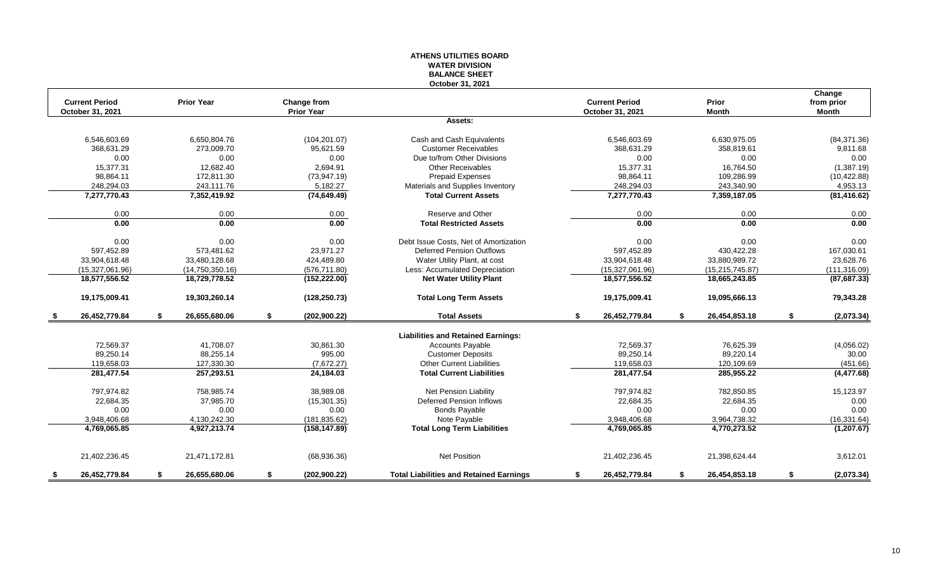#### **ATHENS UTILITIES BOARD WATER DIVISION BALANCE SHEET October 31, 2021**

|      |                       |                     |                     |                                                |                       |                     | Change           |
|------|-----------------------|---------------------|---------------------|------------------------------------------------|-----------------------|---------------------|------------------|
|      | <b>Current Period</b> | <b>Prior Year</b>   | <b>Change from</b>  |                                                | <b>Current Period</b> | Prior               | from prior       |
|      | October 31, 2021      |                     | <b>Prior Year</b>   |                                                | October 31, 2021      | <b>Month</b>        | Month            |
|      |                       |                     |                     | Assets:                                        |                       |                     |                  |
|      | 6,546,603.69          | 6,650,804.76        | (104, 201.07)       | Cash and Cash Equivalents                      | 6,546,603.69          | 6,630,975.05        | (84, 371.36)     |
|      | 368.631.29            | 273.009.70          | 95.621.59           | <b>Customer Receivables</b>                    | 368.631.29            | 358.819.61          | 9,811.68         |
|      | 0.00                  | 0.00                | 0.00                | Due to/from Other Divisions                    | 0.00                  | 0.00                | 0.00             |
|      | 15,377.31             | 12,682.40           | 2,694.91            | <b>Other Receivables</b>                       | 15,377.31             | 16,764.50           | (1,387.19)       |
|      | 98,864.11             | 172,811.30          | (73, 947, 19)       | <b>Prepaid Expenses</b>                        | 98,864.11             | 109,286.99          | (10, 422.88)     |
|      | 248,294.03            | 243,111.76          | 5,182.27            | Materials and Supplies Inventory               | 248,294.03            | 243,340.90          | 4,953.13         |
|      | 7,277,770.43          | 7,352,419.92        | (74, 649.49)        | <b>Total Current Assets</b>                    | 7,277,770.43          | 7,359,187.05        | (81, 416.62)     |
|      | 0.00                  | 0.00                | 0.00                | Reserve and Other                              | 0.00                  | 0.00                | 0.00             |
|      | 0.00                  | 0.00                | 0.00                | <b>Total Restricted Assets</b>                 | 0.00                  | 0.00                | 0.00             |
|      | 0.00                  | 0.00                | 0.00                | Debt Issue Costs, Net of Amortization          | 0.00                  | 0.00                | 0.00             |
|      | 597,452.89            | 573,481.62          | 23,971.27           | <b>Deferred Pension Outflows</b>               | 597,452.89            | 430,422.28          | 167,030.61       |
|      | 33,904,618.48         | 33.480.128.68       | 424,489.80          | Water Utility Plant, at cost                   | 33,904,618.48         | 33,880,989.72       | 23,628.76        |
|      | (15,327,061.96)       | (14,750,350.16)     | (576, 711.80)       | Less: Accumulated Depreciation                 | (15,327,061.96)       | (15, 215, 745.87)   | (111, 316.09)    |
|      | 18,577,556.52         | 18,729,778.52       | (152, 222.00)       | <b>Net Water Utility Plant</b>                 | 18,577,556.52         | 18,665,243.85       | (87, 687.33)     |
|      | 19,175,009.41         | 19,303,260.14       | (128, 250.73)       | <b>Total Long Term Assets</b>                  | 19,175,009.41         | 19,095,666.13       | 79,343.28        |
| - \$ | 26,452,779.84         | \$<br>26,655,680.06 | \$<br>(202, 900.22) | <b>Total Assets</b>                            | \$<br>26,452,779.84   | \$<br>26,454,853.18 | \$<br>(2,073.34) |
|      |                       |                     |                     | <b>Liabilities and Retained Earnings:</b>      |                       |                     |                  |
|      | 72,569.37             | 41,708.07           | 30,861.30           | <b>Accounts Payable</b>                        | 72,569.37             | 76,625.39           | (4,056.02)       |
|      | 89,250.14             | 88,255.14           | 995.00              | <b>Customer Deposits</b>                       | 89,250.14             | 89,220.14           | 30.00            |
|      | 119,658.03            | 127,330.30          | (7,672.27)          | <b>Other Current Liabilities</b>               | 119,658.03            | 120,109.69          | (451.66)         |
|      | 281,477.54            | 257,293.51          | 24,184.03           | <b>Total Current Liabilities</b>               | 281,477.54            | 285,955.22          | (4, 477.68)      |
|      | 797,974.82            | 758,985.74          | 38,989.08           | Net Pension Liability                          | 797,974.82            | 782,850.85          | 15,123.97        |
|      | 22,684.35             | 37,985.70           | (15, 301.35)        | <b>Deferred Pension Inflows</b>                | 22,684.35             | 22,684.35           | 0.00             |
|      | 0.00                  | 0.00                | 0.00                | <b>Bonds Payable</b>                           | 0.00                  | 0.00                | 0.00             |
|      | 3,948,406.68          | 4,130,242.30        | (181, 835.62)       | Note Payable                                   | 3,948,406.68          | 3,964,738.32        | (16, 331.64)     |
|      | 4,769,065.85          | 4,927,213.74        | (158, 147.89)       | <b>Total Long Term Liabilities</b>             | 4,769,065.85          | 4,770,273.52        | (1, 207.67)      |
|      |                       |                     |                     |                                                |                       |                     |                  |
|      | 21,402,236.45         | 21,471,172.81       | (68,936.36)         | <b>Net Position</b>                            | 21,402,236.45         | 21,398,624.44       | 3,612.01         |
| \$   | 26,452,779.84         | \$<br>26.655.680.06 | \$<br>(202, 900.22) | <b>Total Liabilities and Retained Earnings</b> | \$<br>26,452,779.84   | \$<br>26,454,853.18 | \$<br>(2,073.34) |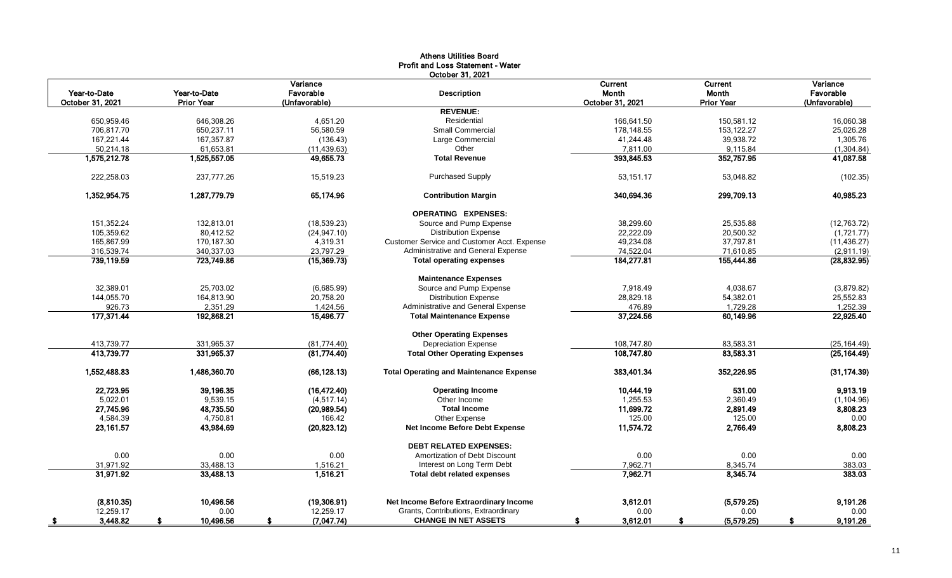|                                  |                                   |                                        | Athens Utilities Board<br><b>Profit and Loss Statement - Water</b> |                                             |                                                     |                                        |
|----------------------------------|-----------------------------------|----------------------------------------|--------------------------------------------------------------------|---------------------------------------------|-----------------------------------------------------|----------------------------------------|
| Year-to-Date<br>October 31, 2021 | Year-to-Date<br><b>Prior Year</b> | Variance<br>Favorable<br>(Unfavorable) | October 31, 2021<br><b>Description</b>                             | <b>Current</b><br>Month<br>October 31, 2021 | <b>Current</b><br><b>Month</b><br><b>Prior Year</b> | Variance<br>Favorable<br>(Unfavorable) |
|                                  |                                   |                                        | <b>REVENUE:</b>                                                    |                                             |                                                     |                                        |
| 650,959.46                       | 646,308.26                        | 4,651.20                               | Residential                                                        | 166,641.50                                  | 150,581.12                                          | 16,060.38                              |
| 706,817.70                       | 650,237.11                        | 56,580.59                              | <b>Small Commercial</b>                                            | 178,148.55                                  | 153,122.27                                          | 25,026.28                              |
| 167,221.44                       | 167,357.87                        | (136.43)                               | Large Commercial                                                   | 41,244.48                                   | 39,938.72                                           | 1,305.76                               |
| 50,214.18                        | 61,653.81                         | (11, 439.63)                           | Other                                                              | 7,811.00                                    | 9,115.84                                            | (1,304.84)                             |
| 1,575,212.78                     | 1,525,557.05                      | 49,655.73                              | <b>Total Revenue</b>                                               | 393,845.53                                  | 352,757.95                                          | 41,087.58                              |
| 222,258.03                       | 237,777.26                        | 15,519.23                              | <b>Purchased Supply</b>                                            | 53,151.17                                   | 53,048.82                                           | (102.35)                               |
| 1,352,954.75                     | 1,287,779.79                      | 65,174.96                              | <b>Contribution Margin</b>                                         | 340,694.36                                  | 299,709.13                                          | 40,985.23                              |
|                                  |                                   |                                        | <b>OPERATING EXPENSES:</b>                                         |                                             |                                                     |                                        |
| 151,352.24                       | 132,813.01                        | (18, 539.23)                           | Source and Pump Expense                                            | 38,299.60                                   | 25,535.88                                           | (12,763.72)                            |
| 105,359.62                       | 80,412.52                         | (24, 947.10)                           | <b>Distribution Expense</b>                                        | 22,222.09                                   | 20,500.32                                           | (1,721.77)                             |
| 165,867.99                       | 170,187.30                        | 4,319.31                               | <b>Customer Service and Customer Acct. Expense</b>                 | 49,234.08                                   | 37,797.81                                           | (11, 436.27)                           |
| 316,539.74                       | 340,337.03                        | 23,797.29                              | Administrative and General Expense                                 | 74,522.04                                   | 71,610.85                                           | (2,911.19)                             |
| 739,119.59                       | 723,749.86                        | (15,369.73)                            | <b>Total operating expenses</b>                                    | 184,277.81                                  | 155,444.86                                          | (28, 832.95)                           |
|                                  |                                   |                                        | <b>Maintenance Expenses</b>                                        |                                             |                                                     |                                        |
| 32,389.01                        | 25,703.02                         | (6,685.99)                             | Source and Pump Expense                                            | 7,918.49                                    | 4,038.67                                            | (3,879.82)                             |
| 144,055.70                       | 164.813.90                        | 20.758.20                              | <b>Distribution Expense</b>                                        | 28,829.18                                   | 54,382.01                                           | 25,552.83                              |
| 926.73                           | 2,351.29                          | 1,424.56                               | Administrative and General Expense                                 | 476.89                                      | 1,729.28                                            | 1,252.39                               |
| 177,371.44                       | 192,868.21                        | 15,496.77                              | <b>Total Maintenance Expense</b>                                   | 37,224.56                                   | 60,149.96                                           | 22,925.40                              |
|                                  |                                   |                                        | <b>Other Operating Expenses</b>                                    |                                             |                                                     |                                        |
| 413,739.77                       | 331,965.37                        | (81,774.40)                            | <b>Depreciation Expense</b>                                        | 108,747.80                                  | 83,583.31                                           | (25, 164.49)                           |
| 413,739.77                       | 331,965.37                        | (81,774.40)                            | <b>Total Other Operating Expenses</b>                              | 108,747.80                                  | 83,583.31                                           | (25, 164.49)                           |
| 1,552,488.83                     | 1,486,360.70                      | (66, 128.13)                           | <b>Total Operating and Maintenance Expense</b>                     | 383,401.34                                  | 352,226.95                                          | (31, 174.39)                           |
| 22,723.95                        | 39,196.35                         | (16, 472.40)                           | <b>Operating Income</b>                                            | 10,444.19                                   | 531.00                                              | 9,913.19                               |
| 5,022.01                         | 9,539.15                          | (4, 517.14)                            | Other Income                                                       | 1,255.53                                    | 2,360.49                                            | (1, 104.96)                            |
| 27,745.96                        | 48,735.50                         | (20, 989.54)                           | <b>Total Income</b>                                                | 11,699.72                                   | 2,891.49                                            | 8,808.23                               |
| 4,584.39                         | 4,750.81                          | 166.42                                 | Other Expense                                                      | 125.00                                      | 125.00                                              | 0.00                                   |
| 23,161.57                        | 43,984.69                         | (20, 823.12)                           | Net Income Before Debt Expense                                     | 11,574.72                                   | 2,766.49                                            | 8,808.23                               |
|                                  |                                   |                                        | <b>DEBT RELATED EXPENSES:</b>                                      |                                             |                                                     |                                        |
| 0.00                             | 0.00                              | 0.00                                   | Amortization of Debt Discount                                      | 0.00                                        | 0.00                                                | 0.00                                   |
| 31,971.92                        | 33,488.13                         | 1,516.21                               | Interest on Long Term Debt                                         | 7,962.71                                    | 8,345.74                                            | 383.03                                 |
| 31,971.92                        | 33,488.13                         | 1,516.21                               | <b>Total debt related expenses</b>                                 | 7,962.71                                    | 8,345.74                                            | 383.03                                 |
| (8,810.35)                       | 10,496.56                         | (19,306.91)                            | Net Income Before Extraordinary Income                             | 3,612.01                                    | (5,579.25)                                          | 9,191.26                               |
| 12,259.17                        | 0.00                              | 12,259.17                              | Grants, Contributions, Extraordinary                               | 0.00                                        | 0.00                                                | 0.00                                   |
| 3,448.82                         | 10,496.56                         | (7,047.74)                             | <b>CHANGE IN NET ASSETS</b>                                        | 3,612.01<br>S                               | (5,579.25)                                          | 9,191.26                               |
|                                  |                                   |                                        |                                                                    |                                             |                                                     |                                        |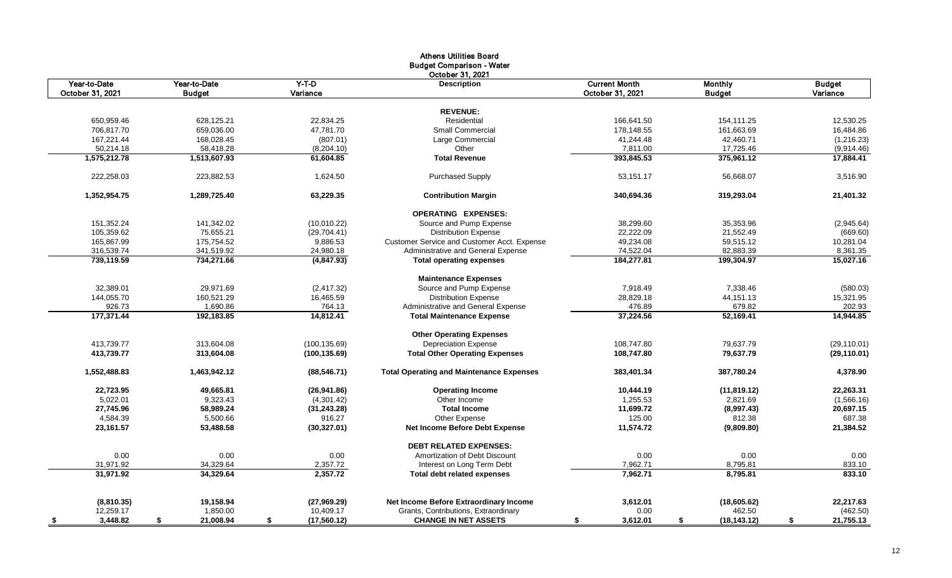|                           |                           |                           | <b>Athens Utilities Board</b><br><b>Budget Comparison - Water</b>   |                        |                         |                         |
|---------------------------|---------------------------|---------------------------|---------------------------------------------------------------------|------------------------|-------------------------|-------------------------|
| Year-to-Date              | Year-to-Date              | $Y-T-D$                   | October 31, 2021<br><b>Description</b>                              | <b>Current Month</b>   | <b>Monthly</b>          | <b>Budget</b>           |
| October 31, 2021          | <b>Budget</b>             | Variance                  |                                                                     | October 31, 2021       | <b>Budget</b>           | Variance                |
|                           |                           |                           |                                                                     |                        |                         |                         |
|                           |                           |                           | <b>REVENUE:</b>                                                     |                        |                         |                         |
| 650,959.46                | 628,125.21                | 22,834.25                 | Residential                                                         | 166,641.50             | 154,111.25              | 12,530.25               |
| 706,817.70                | 659,036.00                | 47,781.70                 | <b>Small Commercial</b>                                             | 178,148.55             | 161,663.69              | 16,484.86               |
| 167,221.44                | 168,028.45                | (807.01)                  | Large Commercial                                                    | 41,244.48              | 42,460.71               | (1, 216.23)             |
| 50,214.18<br>1,575,212.78 | 58,418.28<br>1,513,607.93 | (8,204.10)<br>61,604.85   | Other<br><b>Total Revenue</b>                                       | 7,811.00<br>393,845.53 | 17,725.46<br>375,961.12 | (9,914.46)<br>17,884.41 |
|                           |                           |                           |                                                                     |                        |                         |                         |
| 222,258.03                | 223,882.53                | 1,624.50                  | <b>Purchased Supply</b>                                             | 53,151.17              | 56,668.07               | 3,516.90                |
| 1,352,954.75              | 1,289,725.40              | 63,229.35                 | <b>Contribution Margin</b>                                          | 340,694.36             | 319,293.04              | 21,401.32               |
|                           |                           |                           | <b>OPERATING EXPENSES:</b>                                          |                        |                         |                         |
| 151,352.24                | 141,342.02                | (10,010.22)               | Source and Pump Expense                                             | 38,299.60              | 35,353.96               | (2,945.64)              |
| 105,359.62                | 75,655.21                 | (29, 704.41)              | <b>Distribution Expense</b>                                         | 22,222.09              | 21,552.49               | (669.60)                |
| 165,867.99                | 175,754.52                | 9,886.53                  | Customer Service and Customer Acct. Expense                         | 49,234.08              | 59,515.12               | 10,281.04               |
| 316,539.74                | 341,519.92                | 24,980.18                 | Administrative and General Expense                                  | 74,522.04              | 82,883.39               | 8,361.35                |
| 739,119.59                | 734,271.66                | (4, 847.93)               | <b>Total operating expenses</b>                                     | 184,277.81             | 199,304.97              | 15,027.16               |
|                           |                           |                           | <b>Maintenance Expenses</b>                                         |                        |                         |                         |
| 32,389.01                 | 29,971.69                 | (2, 417.32)               | Source and Pump Expense                                             | 7,918.49               | 7,338.46                | (580.03)                |
| 144,055.70                | 160,521.29                | 16,465.59                 | <b>Distribution Expense</b>                                         | 28,829.18              | 44, 151. 13             | 15,321.95               |
| 926.73                    | 1,690.86                  | 764.13                    | Administrative and General Expense                                  | 476.89                 | 679.82                  | 202.93                  |
| 177,371.44                | 192,183.85                | 14,812.41                 | <b>Total Maintenance Expense</b>                                    | 37,224.56              | 52,169.41               | 14.944.85               |
|                           |                           |                           | <b>Other Operating Expenses</b>                                     |                        |                         |                         |
| 413,739.77                | 313,604.08                | (100, 135.69)             | <b>Depreciation Expense</b>                                         | 108,747.80             | 79,637.79               | (29, 110.01)            |
| 413,739.77                | 313,604.08                | (100, 135.69)             | <b>Total Other Operating Expenses</b>                               | 108,747.80             | 79,637.79               | (29, 110.01)            |
| 1,552,488.83              | 1,463,942.12              | (88, 546.71)              | <b>Total Operating and Maintenance Expenses</b>                     | 383,401.34             | 387,780.24              | 4,378.90                |
| 22,723.95                 | 49,665.81                 | (26, 941.86)              | <b>Operating Income</b>                                             | 10,444.19              | (11, 819.12)            | 22,263.31               |
| 5,022.01                  | 9,323.43                  | (4,301.42)                | Other Income                                                        | 1,255.53               | 2,821.69                | (1,566.16)              |
| 27,745.96                 | 58,989.24                 | (31, 243.28)              | <b>Total Income</b>                                                 | 11,699.72              | (8,997.43)              | 20,697.15               |
| 4,584.39                  | 5,500.66                  | 916.27                    | Other Expense                                                       | 125.00                 | 812.38                  | 687.38                  |
| 23,161.57                 | 53,488.58                 | (30, 327.01)              | <b>Net Income Before Debt Expense</b>                               | 11,574.72              | (9,809.80)              | 21,384.52               |
|                           |                           |                           | <b>DEBT RELATED EXPENSES:</b>                                       |                        |                         |                         |
| 0.00                      | 0.00                      | 0.00                      | Amortization of Debt Discount                                       | 0.00                   | 0.00                    | 0.00                    |
| 31,971.92                 | 34,329.64                 | 2,357.72                  | Interest on Long Term Debt                                          | 7,962.71               | 8,795.81                | 833.10                  |
| 31,971.92                 | 34.329.64                 | 2,357.72                  | <b>Total debt related expenses</b>                                  | 7.962.71               | 8,795.81                | 833.10                  |
|                           |                           |                           |                                                                     |                        |                         |                         |
| (8,810.35)                | 19,158.94                 | (27,969.29)               | Net Income Before Extraordinary Income                              | 3,612.01               | (18,605.62)             | 22,217.63               |
| 12,259.17<br>3,448.82     | 1,850.00<br>21,008.94     | 10,409.17<br>(17, 560.12) | Grants, Contributions, Extraordinary<br><b>CHANGE IN NET ASSETS</b> | 0.00                   | 462.50                  | (462.50)<br>21,755.13   |
| -\$                       | \$                        | \$                        |                                                                     | \$<br>3,612.01         | \$<br>(18, 143.12)      | \$                      |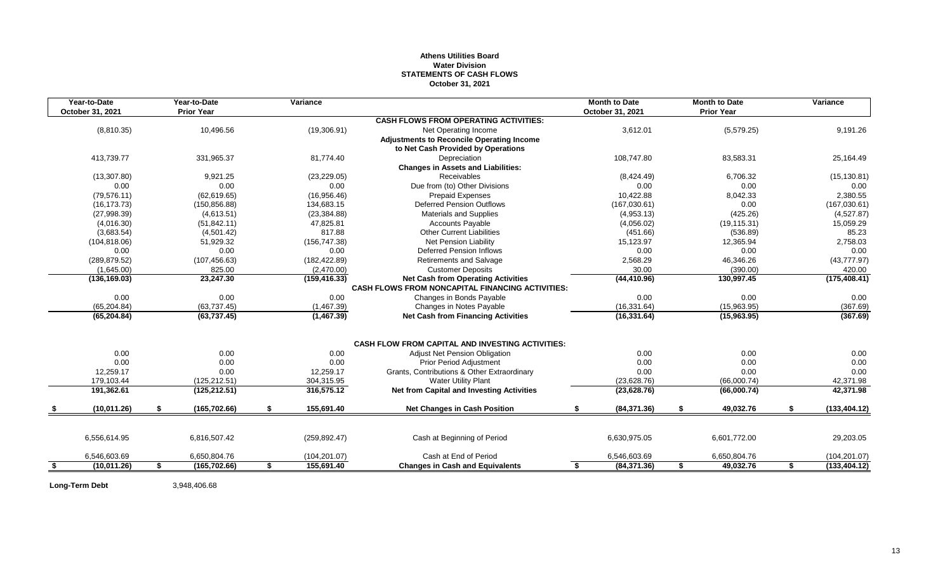## **Athens Utilities Board Water Division STATEMENTS OF CASH FLOWS October 31, 2021**

| Year-to-Date<br>October 31, 2021 | Year-to-Date<br><b>Prior Year</b> | Variance         |                                                         |     | <b>Month to Date</b><br>October 31, 2021 | <b>Month to Date</b><br><b>Prior Year</b> | Variance            |
|----------------------------------|-----------------------------------|------------------|---------------------------------------------------------|-----|------------------------------------------|-------------------------------------------|---------------------|
|                                  |                                   |                  | <b>CASH FLOWS FROM OPERATING ACTIVITIES:</b>            |     |                                          |                                           |                     |
| (8,810.35)                       | 10,496.56                         | (19,306.91)      | Net Operating Income                                    |     | 3,612.01                                 | (5,579.25)                                | 9,191.26            |
|                                  |                                   |                  | <b>Adjustments to Reconcile Operating Income</b>        |     |                                          |                                           |                     |
|                                  |                                   |                  | to Net Cash Provided by Operations                      |     |                                          |                                           |                     |
| 413,739.77                       | 331,965.37                        | 81,774.40        | Depreciation                                            |     | 108,747.80                               | 83,583.31                                 | 25,164.49           |
|                                  |                                   |                  | <b>Changes in Assets and Liabilities:</b>               |     |                                          |                                           |                     |
| (13, 307.80)                     | 9,921.25                          | (23, 229.05)     | <b>Receivables</b>                                      |     | (8,424.49)                               | 6,706.32                                  | (15, 130.81)        |
| 0.00                             | 0.00                              | 0.00             | Due from (to) Other Divisions                           |     | 0.00                                     | 0.00                                      | 0.00                |
| (79, 576.11)                     | (62, 619.65)                      | (16,956.46)      | <b>Prepaid Expenses</b>                                 |     | 10,422.88                                | 8,042.33                                  | 2,380.55            |
| (16, 173.73)                     | (150, 856.88)                     | 134,683.15       | <b>Deferred Pension Outflows</b>                        |     | (167,030.61)                             | 0.00                                      | (167,030.61)        |
| (27,998.39)                      | (4,613.51)                        | (23, 384.88)     | <b>Materials and Supplies</b>                           |     | (4,953.13)                               | (425.26)                                  | (4,527.87)          |
| (4,016.30)                       | (51, 842.11)                      | 47,825.81        | <b>Accounts Payable</b>                                 |     | (4,056.02)                               | (19, 115.31)                              | 15,059.29           |
| (3,683.54)                       | (4,501.42)                        | 817.88           | <b>Other Current Liabilities</b>                        |     | (451.66)                                 | (536.89)                                  | 85.23               |
| (104, 818.06)                    | 51,929.32                         | (156, 747.38)    | <b>Net Pension Liability</b>                            |     | 15,123.97                                | 12,365.94                                 | 2,758.03            |
| 0.00                             | 0.00                              | 0.00             | <b>Deferred Pension Inflows</b>                         |     | 0.00                                     | 0.00                                      | 0.00                |
| (289, 879.52)                    | (107, 456.63)                     | (182, 422.89)    | <b>Retirements and Salvage</b>                          |     | 2,568.29                                 | 46,346.26                                 | (43, 777.97)        |
| (1,645.00)                       | 825.00                            | (2,470.00)       | <b>Customer Deposits</b>                                |     | 30.00                                    | (390.00)                                  | 420.00              |
| (136, 169.03)                    | 23,247.30                         | (159, 416.33)    | <b>Net Cash from Operating Activities</b>               |     | (44, 410.96)                             | 130,997.45                                | (175, 408.41)       |
|                                  |                                   |                  | <b>CASH FLOWS FROM NONCAPITAL FINANCING ACTIVITIES:</b> |     |                                          |                                           |                     |
| 0.00                             | 0.00                              | 0.00             | Changes in Bonds Payable                                |     | 0.00                                     | 0.00                                      | 0.00                |
| (65, 204.84)                     | (63, 737.45)                      | (1,467.39)       | Changes in Notes Payable                                |     | (16, 331.64)                             | (15,963.95)                               | (367.69)            |
| (65, 204.84)                     | (63, 737.45)                      | (1,467.39)       | <b>Net Cash from Financing Activities</b>               |     | (16, 331.64)                             | (15,963.95)                               | (367.69)            |
|                                  |                                   |                  | <b>CASH FLOW FROM CAPITAL AND INVESTING ACTIVITIES:</b> |     |                                          |                                           |                     |
| 0.00                             | 0.00                              | 0.00             | <b>Adjust Net Pension Obligation</b>                    |     | 0.00                                     | 0.00                                      | 0.00                |
| 0.00                             | 0.00                              | 0.00             | <b>Prior Period Adjustment</b>                          |     | 0.00                                     | 0.00                                      | 0.00                |
| 12,259.17                        | 0.00                              | 12,259.17        | Grants, Contributions & Other Extraordinary             |     | 0.00                                     | 0.00                                      | 0.00                |
| 179,103.44                       | (125, 212.51)                     | 304,315.95       | <b>Water Utility Plant</b>                              |     | (23,628.76)                              | (66,000.74)                               | 42,371.98           |
| 191,362.61                       | (125, 212.51)                     | 316,575.12       | <b>Net from Capital and Investing Activities</b>        |     | (23, 628.76)                             | (66,000.74)                               | 42,371.98           |
|                                  |                                   |                  |                                                         |     |                                          |                                           |                     |
| (10,011.26)                      | \$<br>(165, 702.66)               | \$<br>155,691.40 | <b>Net Changes in Cash Position</b>                     | \$  | (84, 371.36)                             | \$<br>49,032.76                           | \$<br>(133, 404.12) |
|                                  |                                   |                  |                                                         |     |                                          |                                           |                     |
| 6,556,614.95                     | 6,816,507.42                      | (259, 892.47)    | Cash at Beginning of Period                             |     | 6,630,975.05                             | 6,601,772.00                              | 29,203.05           |
| 6,546,603.69                     | 6,650,804.76                      | (104, 201.07)    | Cash at End of Period                                   |     | 6,546,603.69                             | 6,650,804.76                              | (104, 201.07)       |
| \$<br>(10,011.26)                | \$<br>(165, 702.66)               | \$<br>155,691.40 | <b>Changes in Cash and Equivalents</b>                  | \$. | (84, 371.36)                             | \$<br>49,032.76                           | \$<br>(133, 404.12) |

Long-Term Debt 3,948,406.68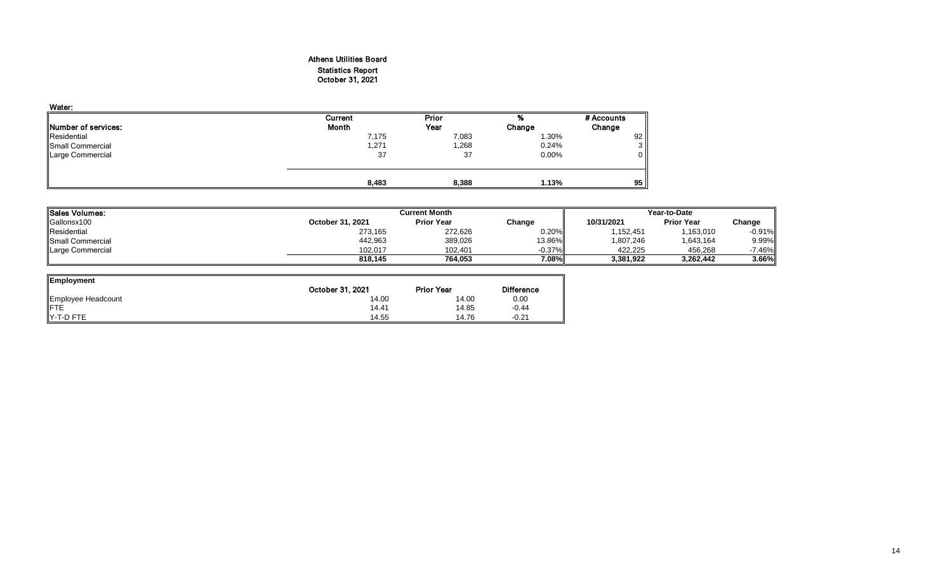## Athens Utilities Board Statistics Report October 31, 2021

| Water:              |         |       |        |                |
|---------------------|---------|-------|--------|----------------|
|                     | Current | Prior |        | # Accounts     |
| Number of services: | Month   | Year  | Change | Change         |
| Residential         | 7,175   | 7,083 | 1.30%  | 92             |
| Small Commercial    | 1,271   | 1,268 | 0.24%  | 3 <sup>1</sup> |
| Large Commercial    | 37      | 37    | 0.00%  | $\overline{0}$ |
|                     |         |       |        |                |
|                     |         |       |        |                |
|                     | 8,483   | 8,388 | 1.13%  | 95             |

| Sales Volumes:           |                  | <b>Current Month</b> | Year-to-Date |            |                   |          |
|--------------------------|------------------|----------------------|--------------|------------|-------------------|----------|
| Gallonsx100              | October 31, 2021 | <b>Prior Year</b>    | Change       | 10/31/2021 | <b>Prior Year</b> | Change   |
| Residential              | 273,165          | 272.626              | 0.20%        | ,152,451   | 1,163,010         | $-0.91%$ |
| <b>ISmall Commercial</b> | 442.963          | 389.026              | 13.86%       | 1.807.246  | 1,643,164         | 9.99%    |
| Large Commercial         | 102.017          | 102.401              | $-0.37\%$    | 422.225    | 456.268           | 7.46%    |
|                          | 818.145          | 764.053              | 7.08%        | 3,381,922  | 3,262,442         | 3.66%    |

| Employment         |                  |                   |                   |
|--------------------|------------------|-------------------|-------------------|
|                    | October 31, 2021 | <b>Prior Year</b> | <b>Difference</b> |
| Employee Headcount | 14.00            | 14.00             | 0.00              |
| <b>IFTE</b>        | 14.41            | 14.85             | $-0.44$           |
| IY-T-D FTE         | 14.55            | 14.76             | $-0.21$           |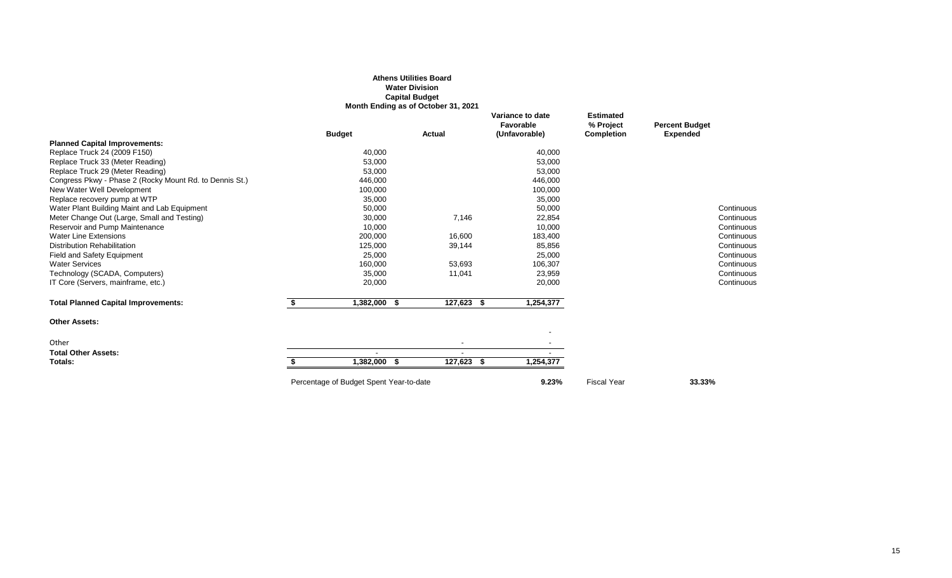|                                                         |                                         | <b>Athens Utilities Board</b><br><b>Water Division</b><br><b>Capital Budget</b> |                                                |                                             |                                          |
|---------------------------------------------------------|-----------------------------------------|---------------------------------------------------------------------------------|------------------------------------------------|---------------------------------------------|------------------------------------------|
|                                                         | <b>Budget</b>                           | Month Ending as of October 31, 2021<br>Actual                                   | Variance to date<br>Favorable<br>(Unfavorable) | <b>Estimated</b><br>% Project<br>Completion | <b>Percent Budget</b><br><b>Expended</b> |
| <b>Planned Capital Improvements:</b>                    |                                         |                                                                                 |                                                |                                             |                                          |
| Replace Truck 24 (2009 F150)                            | 40,000                                  |                                                                                 | 40,000                                         |                                             |                                          |
| Replace Truck 33 (Meter Reading)                        | 53,000                                  |                                                                                 | 53,000                                         |                                             |                                          |
| Replace Truck 29 (Meter Reading)                        | 53,000                                  |                                                                                 | 53,000                                         |                                             |                                          |
| Congress Pkwy - Phase 2 (Rocky Mount Rd. to Dennis St.) | 446,000                                 |                                                                                 | 446,000                                        |                                             |                                          |
| New Water Well Development                              | 100,000                                 |                                                                                 | 100,000                                        |                                             |                                          |
| Replace recovery pump at WTP                            | 35,000                                  |                                                                                 | 35,000                                         |                                             |                                          |
| Water Plant Building Maint and Lab Equipment            | 50,000                                  |                                                                                 | 50,000                                         |                                             | Continuous                               |
| Meter Change Out (Large, Small and Testing)             | 30,000                                  | 7,146                                                                           | 22,854                                         |                                             | Continuous                               |
| Reservoir and Pump Maintenance                          | 10,000                                  |                                                                                 | 10,000                                         |                                             | Continuous                               |
| <b>Water Line Extensions</b>                            | 200,000                                 | 16,600                                                                          | 183,400                                        |                                             | Continuous                               |
| <b>Distribution Rehabilitation</b>                      | 125,000                                 | 39,144                                                                          | 85,856                                         |                                             | Continuous                               |
| <b>Field and Safety Equipment</b>                       | 25,000                                  |                                                                                 | 25,000                                         |                                             | Continuous                               |
| <b>Water Services</b>                                   | 160,000                                 | 53,693                                                                          | 106,307                                        |                                             | Continuous                               |
| Technology (SCADA, Computers)                           | 35,000                                  | 11,041                                                                          | 23,959                                         |                                             | Continuous                               |
| IT Core (Servers, mainframe, etc.)                      | 20,000                                  |                                                                                 | 20,000                                         |                                             | Continuous                               |
| <b>Total Planned Capital Improvements:</b>              | 1,382,000 \$                            | 127,623<br>- \$                                                                 | 1,254,377                                      |                                             |                                          |
| <b>Other Assets:</b>                                    |                                         |                                                                                 |                                                |                                             |                                          |
|                                                         |                                         |                                                                                 |                                                |                                             |                                          |
| Other                                                   |                                         |                                                                                 |                                                |                                             |                                          |
| <b>Total Other Assets:</b>                              |                                         |                                                                                 |                                                |                                             |                                          |
| Totals:                                                 | 1,382,000 \$                            | 127,623 \$                                                                      | 1,254,377                                      |                                             |                                          |
|                                                         | Percentage of Budget Spent Year-to-date |                                                                                 | 9.23%                                          | <b>Fiscal Year</b>                          | 33.33%                                   |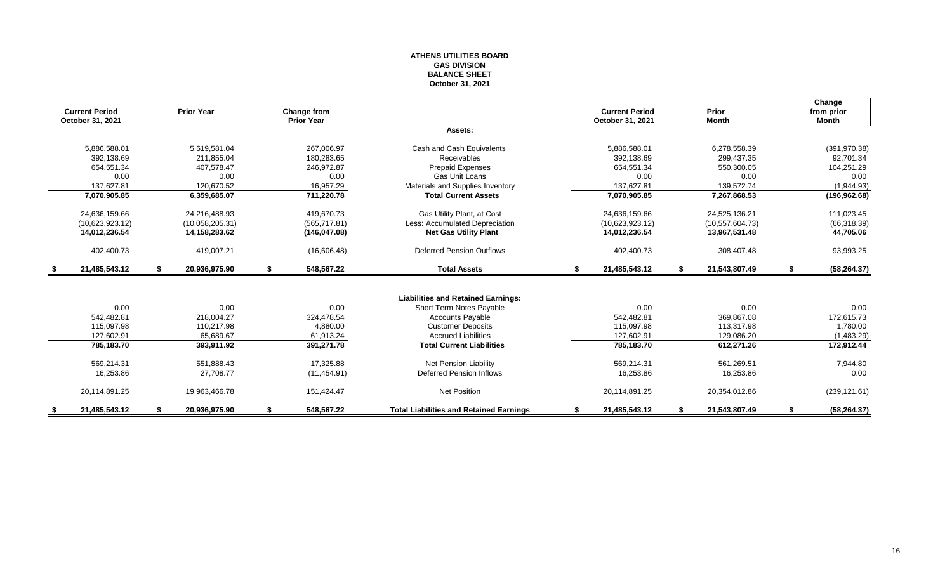#### **ATHENS UTILITIES BOARD GAS DIVISION BALANCE SHEET October 31, 2021**

|      |                       |                     |                   |                                                |    |                       |                     | Change             |
|------|-----------------------|---------------------|-------------------|------------------------------------------------|----|-----------------------|---------------------|--------------------|
|      | <b>Current Period</b> | <b>Prior Year</b>   | Change from       |                                                |    | <b>Current Period</b> | Prior               | from prior         |
|      | October 31, 2021      |                     | <b>Prior Year</b> |                                                |    | October 31, 2021      | <b>Month</b>        | <b>Month</b>       |
|      |                       |                     |                   | Assets:                                        |    |                       |                     |                    |
|      | 5,886,588.01          | 5,619,581.04        | 267,006.97        | Cash and Cash Equivalents                      |    | 5,886,588.01          | 6,278,558.39        | (391, 970.38)      |
|      | 392.138.69            | 211,855.04          | 180,283.65        | Receivables                                    |    | 392,138.69            | 299,437.35          | 92,701.34          |
|      | 654,551.34            | 407.578.47          | 246.972.87        | <b>Prepaid Expenses</b>                        |    | 654,551.34            | 550,300.05          | 104,251.29         |
|      | 0.00                  | 0.00                | 0.00              | <b>Gas Unit Loans</b>                          |    | 0.00                  | 0.00                | 0.00               |
|      | 137.627.81            | 120.670.52          | 16,957.29         | Materials and Supplies Inventory               |    | 137.627.81            | 139,572.74          | (1,944.93)         |
|      | 7,070,905.85          | 6,359,685.07        | 711,220.78        | <b>Total Current Assets</b>                    |    | 7,070,905.85          | 7,267,868.53        | (196, 962.68)      |
|      | 24,636,159.66         | 24,216,488.93       | 419.670.73        | Gas Utility Plant, at Cost                     |    | 24,636,159.66         | 24,525,136.21       | 111,023.45         |
|      | (10.623.923.12)       | (10.058, 205.31)    | (565, 717.81)     | Less: Accumulated Depreciation                 |    | (10.623.923.12)       | (10, 557, 604.73)   | (66, 318.39)       |
|      | 14,012,236.54         | 14,158,283.62       | (146, 047.08)     | <b>Net Gas Utility Plant</b>                   |    | 14,012,236.54         | 13,967,531.48       | 44,705.06          |
|      | 402,400.73            | 419,007.21          | (16,606.48)       | <b>Deferred Pension Outflows</b>               |    | 402,400.73            | 308,407.48          | 93,993.25          |
| - \$ | 21,485,543.12         | \$<br>20,936,975.90 | \$<br>548,567.22  | <b>Total Assets</b>                            | \$ | 21,485,543.12         | \$<br>21,543,807.49 | \$<br>(58, 264.37) |
|      |                       |                     |                   |                                                |    |                       |                     |                    |
|      |                       |                     |                   | <b>Liabilities and Retained Earnings:</b>      |    |                       |                     |                    |
|      | 0.00                  | 0.00                | 0.00              | Short Term Notes Payable                       |    | 0.00                  | 0.00                | 0.00               |
|      | 542,482.81            | 218,004.27          | 324,478.54        | <b>Accounts Payable</b>                        |    | 542,482.81            | 369,867.08          | 172,615.73         |
|      | 115,097.98            | 110,217.98          | 4,880.00          | <b>Customer Deposits</b>                       |    | 115,097.98            | 113,317.98          | 1,780.00           |
|      | 127,602.91            | 65,689.67           | 61,913.24         | <b>Accrued Liabilities</b>                     |    | 127,602.91            | 129,086.20          | (1,483.29)         |
|      | 785,183.70            | 393,911.92          | 391,271.78        | <b>Total Current Liabilities</b>               |    | 785,183.70            | 612,271.26          | 172,912.44         |
|      | 569,214.31            | 551,888.43          | 17,325.88         | Net Pension Liability                          |    | 569,214.31            | 561,269.51          | 7,944.80           |
|      | 16,253.86             | 27.708.77           | (11, 454.91)      | <b>Deferred Pension Inflows</b>                |    | 16,253.86             | 16,253.86           | 0.00               |
|      | 20,114,891.25         | 19,963,466.78       | 151,424.47        | <b>Net Position</b>                            |    | 20,114,891.25         | 20,354,012.86       | (239, 121.61)      |
|      | 21,485,543.12         | 20,936,975.90       | \$<br>548,567.22  | <b>Total Liabilities and Retained Earnings</b> | S  | 21,485,543.12         | 21,543,807.49       | (58, 264.37)       |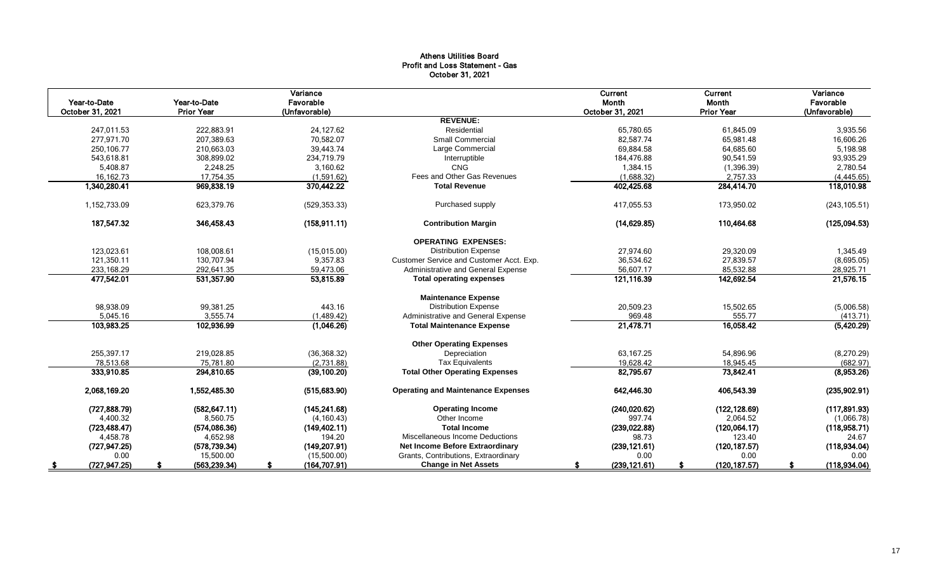## Athens Utilities Board Profit and Loss Statement - Gas October 31, 2021

| Year-to-Date<br>October 31, 2021 | Year-to-Date<br><b>Prior Year</b> | Variance<br>Favorable<br>(Unfavorable) |                                           | <b>Current</b><br>Month<br>October 31, 2021 | Current<br><b>Month</b><br><b>Prior Year</b> | Variance<br>Favorable<br>(Unfavorable) |
|----------------------------------|-----------------------------------|----------------------------------------|-------------------------------------------|---------------------------------------------|----------------------------------------------|----------------------------------------|
|                                  |                                   |                                        | <b>REVENUE:</b>                           |                                             |                                              |                                        |
| 247.011.53                       | 222.883.91                        | 24.127.62                              | Residential                               | 65.780.65                                   | 61.845.09                                    | 3,935.56                               |
| 277,971.70                       | 207,389.63                        | 70,582.07                              | <b>Small Commercial</b>                   | 82,587.74                                   | 65,981.48                                    | 16,606.26                              |
| 250.106.77                       | 210,663.03                        | 39,443.74                              | Large Commercial                          | 69,884.58                                   | 64,685.60                                    | 5,198.98                               |
| 543,618.81                       | 308,899.02                        | 234,719.79                             | Interruptible                             | 184,476.88                                  | 90,541.59                                    | 93,935.29                              |
| 5,408.87                         | 2,248.25                          | 3,160.62                               | <b>CNG</b>                                | 1,384.15                                    | (1, 396.39)                                  | 2,780.54                               |
| 16,162.73                        | 17,754.35                         | (1,591.62)                             | Fees and Other Gas Revenues               | (1,688.32)                                  | 2,757.33                                     | (4, 445.65)                            |
| 1,340,280.41                     | 969,838.19                        | 370,442.22                             | <b>Total Revenue</b>                      | 402,425.68                                  | 284,414.70                                   | 118,010.98                             |
| 1,152,733.09                     | 623,379.76                        | (529, 353.33)                          | Purchased supply                          | 417,055.53                                  | 173,950.02                                   | (243, 105.51)                          |
| 187,547.32                       | 346,458.43                        | (158, 911.11)                          | <b>Contribution Margin</b>                | (14, 629.85)                                | 110,464.68                                   | (125,094.53)                           |
|                                  |                                   |                                        | <b>OPERATING EXPENSES:</b>                |                                             |                                              |                                        |
| 123,023.61                       | 108,008.61                        | (15,015.00)                            | <b>Distribution Expense</b>               | 27,974.60                                   | 29,320.09                                    | 1,345.49                               |
| 121,350.11                       | 130.707.94                        | 9,357.83                               | Customer Service and Customer Acct. Exp.  | 36,534.62                                   | 27,839.57                                    | (8,695.05)                             |
| 233,168.29                       | 292,641.35                        | 59,473.06                              | Administrative and General Expense        | 56,607.17                                   | 85,532.88                                    | 28,925.71                              |
| 477,542.01                       | 531,357.90                        | 53,815.89                              | <b>Total operating expenses</b>           | 121,116.39                                  | 142,692.54                                   | 21,576.15                              |
|                                  |                                   |                                        | <b>Maintenance Expense</b>                |                                             |                                              |                                        |
| 98,938.09                        | 99,381.25                         | 443.16                                 | <b>Distribution Expense</b>               | 20,509.23                                   | 15,502.65                                    | (5,006.58)                             |
| 5,045.16                         | 3,555.74                          | (1,489.42)                             | Administrative and General Expense        | 969.48                                      | 555.77                                       | (413.71)                               |
| 103,983.25                       | 102,936.99                        | (1,046.26)                             | <b>Total Maintenance Expense</b>          | 21,478.71                                   | 16,058.42                                    | (5,420.29)                             |
|                                  |                                   |                                        | <b>Other Operating Expenses</b>           |                                             |                                              |                                        |
| 255,397.17                       | 219,028.85                        | (36, 368.32)                           | Depreciation                              | 63,167.25                                   | 54,896.96                                    | (8,270.29)                             |
| 78,513.68                        | 75,781.80                         | (2,731.88)                             | <b>Tax Equivalents</b>                    | 19,628.42                                   | 18,945.45                                    | (682.97)                               |
| 333,910.85                       | 294,810.65                        | (39, 100.20)                           | <b>Total Other Operating Expenses</b>     | 82,795.67                                   | 73,842.41                                    | (8,953.26)                             |
| 2,068,169.20                     | 1,552,485.30                      | (515, 683.90)                          | <b>Operating and Maintenance Expenses</b> | 642,446.30                                  | 406,543.39                                   | (235, 902.91)                          |
| (727, 888.79)                    | (582, 647.11)                     | (145, 241.68)                          | <b>Operating Income</b>                   | (240, 020.62)                               | (122, 128.69)                                | (117,891.93)                           |
| 4,400.32                         | 8,560.75                          | (4, 160.43)                            | Other Income                              | 997.74                                      | 2,064.52                                     | (1,066.78)                             |
| (723, 488.47)                    | (574,086.36)                      | (149, 402.11)                          | <b>Total Income</b>                       | (239, 022.88)                               | (120,064.17)                                 | (118,958.71)                           |
| 4,458.78                         | 4,652.98                          | 194.20                                 | Miscellaneous Income Deductions           | 98.73                                       | 123.40                                       | 24.67                                  |
| (727, 947.25)                    | (578, 739.34)                     | (149, 207.91)                          | <b>Net Income Before Extraordinary</b>    | (239, 121.61)                               | (120, 187.57)                                | (118, 934.04)                          |
| 0.00                             | 15,500.00                         | (15,500.00)                            | Grants, Contributions, Extraordinary      | 0.00                                        | 0.00                                         | 0.00                                   |
| (727, 947.25)<br>-S              | (563, 239.34)                     | (164, 707.91)                          | <b>Change in Net Assets</b>               | (239, 121.61)<br>\$                         | (120, 187.57)<br>S                           | (118, 934.04)<br>£.                    |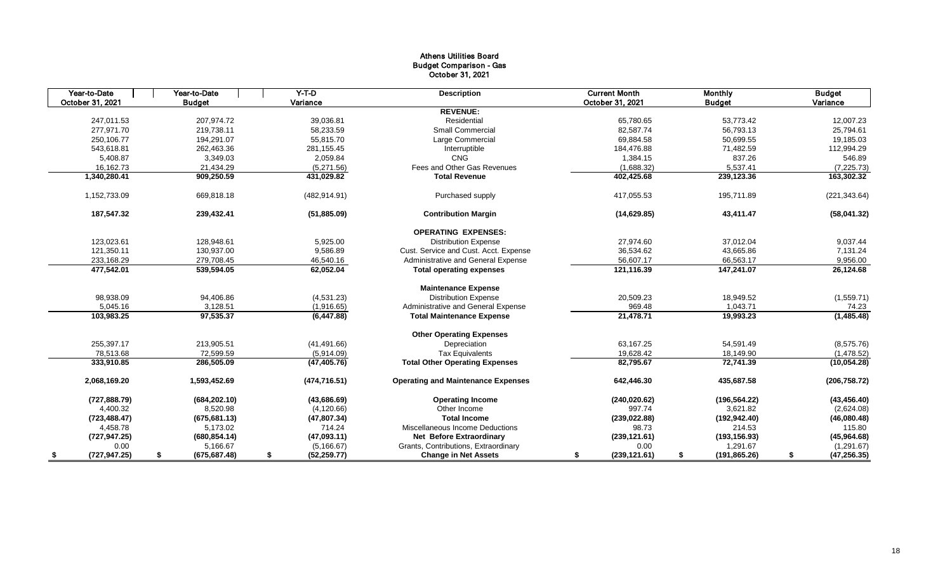## Athens Utilities Board Budget Comparison - Gas October 31, 2021

| Year-to-Date<br>Year-to-Date |                     | $Y-T-D$            | <b>Description</b>                        | <b>Current Month</b> | Monthly             | <b>Budget</b>      |
|------------------------------|---------------------|--------------------|-------------------------------------------|----------------------|---------------------|--------------------|
| October 31, 2021             | <b>Budget</b>       | Variance           |                                           | October 31, 2021     | <b>Budget</b>       | Variance           |
|                              |                     |                    | <b>REVENUE:</b>                           |                      |                     |                    |
| 247,011.53                   | 207,974.72          | 39,036.81          | Residential                               | 65,780.65            | 53,773.42           | 12,007.23          |
| 277.971.70                   | 219,738.11          | 58,233.59          | <b>Small Commercial</b>                   | 82.587.74            | 56,793.13           | 25,794.61          |
| 250,106.77                   | 194,291.07          | 55,815.70          | Large Commercial                          | 69,884.58            | 50,699.55           | 19,185.03          |
| 543,618.81                   | 262,463.36          | 281,155.45         | Interruptible                             | 184,476.88           | 71,482.59           | 112,994.29         |
| 5,408.87                     | 3,349.03            | 2,059.84           | <b>CNG</b>                                | 1,384.15             | 837.26              | 546.89             |
| 16,162.73                    | 21,434.29           | (5,271.56)         | Fees and Other Gas Revenues               | (1,688.32)           | 5,537.41            | (7, 225.73)        |
| 1,340,280.41                 | 909,250.59          | 431,029.82         | <b>Total Revenue</b>                      | 402,425.68           | 239,123.36          | 163,302.32         |
| 1,152,733.09                 | 669,818.18          | (482, 914.91)      | Purchased supply                          | 417,055.53           | 195,711.89          | (221, 343.64)      |
| 187,547.32                   | 239,432.41          | (51, 885.09)       | <b>Contribution Margin</b>                | (14, 629.85)         | 43,411.47           | (58,041.32)        |
|                              |                     |                    | <b>OPERATING EXPENSES:</b>                |                      |                     |                    |
| 123,023.61                   | 128,948.61          | 5,925.00           | <b>Distribution Expense</b>               | 27,974.60            | 37,012.04           | 9,037.44           |
| 121,350.11                   | 130,937.00          | 9,586.89           | Cust. Service and Cust. Acct. Expense     | 36,534.62            | 43,665.86           | 7,131.24           |
| 233,168.29                   | 279,708.45          | 46,540.16          | Administrative and General Expense        | 56,607.17            | 66,563.17           | 9,956.00           |
| 477,542.01                   | 539,594.05          | 62,052.04          | <b>Total operating expenses</b>           | 121,116.39           | 147,241.07          | 26,124.68          |
|                              |                     |                    | <b>Maintenance Expense</b>                |                      |                     |                    |
| 98,938.09                    | 94,406.86           | (4,531.23)         | <b>Distribution Expense</b>               | 20,509.23            | 18,949.52           | (1,559.71)         |
| 5,045.16                     | 3,128.51            | (1,916.65)         | Administrative and General Expense        | 969.48               | 1,043.71            | 74.23              |
| 103,983.25                   | 97,535.37           | (6, 447.88)        | <b>Total Maintenance Expense</b>          | 21,478.71            | 19,993.23           | (1,485.48)         |
|                              |                     |                    | <b>Other Operating Expenses</b>           |                      |                     |                    |
| 255,397.17                   | 213,905.51          | (41, 491.66)       | Depreciation                              | 63,167.25            | 54,591.49           | (8,575.76)         |
| 78.513.68                    | 72.599.59           | (5,914.09)         | <b>Tax Equivalents</b>                    | 19.628.42            | 18,149.90           | (1,478.52)         |
| 333,910.85                   | 286,505.09          | (47, 405.76)       | <b>Total Other Operating Expenses</b>     | 82,795.67            | 72,741.39           | (10, 054.28)       |
| 2,068,169.20                 | 1,593,452.69        | (474, 716.51)      | <b>Operating and Maintenance Expenses</b> | 642,446.30           | 435,687.58          | (206, 758.72)      |
| (727, 888.79)                | (684, 202.10)       | (43,686.69)        | <b>Operating Income</b>                   | (240, 020.62)        | (196, 564.22)       | (43, 456.40)       |
| 4,400.32                     | 8,520.98            | (4, 120.66)        | Other Income                              | 997.74               | 3,621.82            | (2,624.08)         |
| (723, 488.47)                | (675, 681.13)       | (47, 807.34)       | <b>Total Income</b>                       | (239, 022.88)        | (192, 942.40)       | (46,080.48)        |
| 4,458.78                     | 5,173.02            | 714.24             | Miscellaneous Income Deductions           | 98.73                | 214.53              | 115.80             |
| (727, 947.25)                | (680, 854.14)       | (47,093.11)        | <b>Net Before Extraordinary</b>           | (239, 121.61)        | (193, 156.93)       | (45,964.68)        |
| 0.00                         | 5,166.67            | (5, 166.67)        | Grants, Contributions, Extraordinary      | 0.00                 | 1,291.67            | (1, 291.67)        |
| (727, 947.25)<br>S           | (675, 687.48)<br>\$ | (52, 259.77)<br>\$ | <b>Change in Net Assets</b>               | (239, 121.61)<br>\$  | \$<br>(191, 865.26) | (47, 256.35)<br>\$ |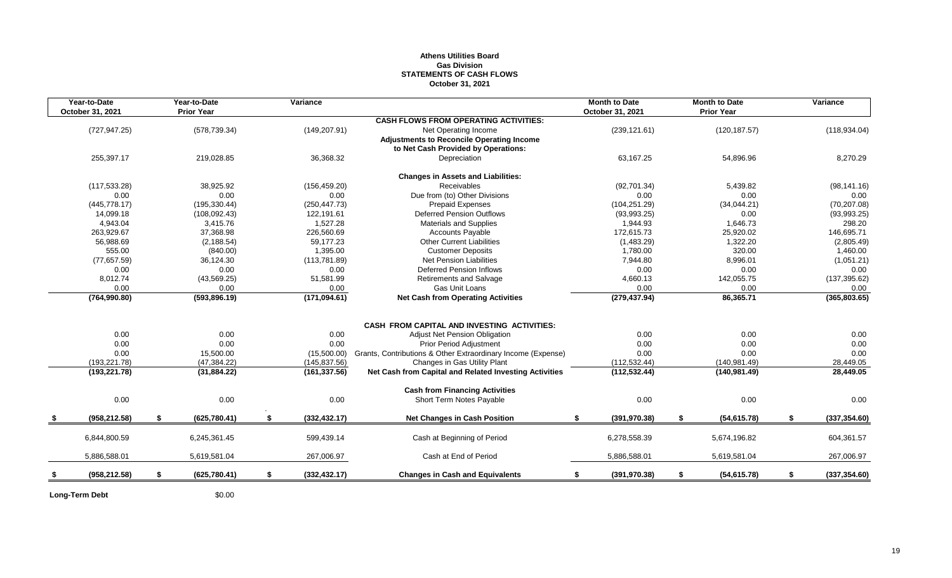## **Athens Utilities Board Gas Division STATEMENTS OF CASH FLOWS October 31, 2021**

| Year-to-Date<br>October 31, 2021 | Year-to-Date<br><b>Prior Year</b> | Variance            |                                                              | <b>Month to Date</b><br>October 31, 2021 |      | <b>Month to Date</b><br><b>Prior Year</b> | Variance            |
|----------------------------------|-----------------------------------|---------------------|--------------------------------------------------------------|------------------------------------------|------|-------------------------------------------|---------------------|
|                                  |                                   |                     | <b>CASH FLOWS FROM OPERATING ACTIVITIES:</b>                 |                                          |      |                                           |                     |
| (727, 947.25)                    | (578, 739.34)                     | (149, 207.91)       | Net Operating Income                                         | (239, 121.61)                            |      | (120, 187.57)                             | (118, 934.04)       |
|                                  |                                   |                     | <b>Adjustments to Reconcile Operating Income</b>             |                                          |      |                                           |                     |
|                                  |                                   |                     | to Net Cash Provided by Operations:                          |                                          |      |                                           |                     |
| 255,397.17                       | 219,028.85                        | 36,368.32           | Depreciation                                                 | 63,167.25                                |      | 54,896.96                                 | 8,270.29            |
|                                  |                                   |                     | <b>Changes in Assets and Liabilities:</b>                    |                                          |      |                                           |                     |
| (117, 533.28)                    | 38.925.92                         | (156, 459.20)       | Receivables                                                  | (92,701.34)                              |      | 5,439.82                                  | (98, 141.16)        |
| 0.00                             | 0.00                              | 0.00                | Due from (to) Other Divisions                                |                                          | 0.00 | 0.00                                      | 0.00                |
| (445, 778.17)                    | (195, 330.44)                     | (250, 447.73)       | <b>Prepaid Expenses</b>                                      | (104, 251.29)                            |      | (34,044.21)                               | (70, 207.08)        |
| 14,099.18                        | (108, 092.43)                     | 122,191.61          | <b>Deferred Pension Outflows</b>                             | (93,993.25)                              |      | 0.00                                      | (93, 993.25)        |
| 4,943.04                         | 3,415.76                          | 1,527.28            | <b>Materials and Supplies</b>                                | 1,944.93                                 |      | 1,646.73                                  | 298.20              |
| 263,929.67                       | 37,368.98                         | 226,560.69          | <b>Accounts Payable</b>                                      | 172,615.73                               |      | 25,920.02                                 | 146,695.71          |
| 56,988.69                        | (2, 188.54)                       | 59,177.23           | <b>Other Current Liabilities</b>                             | (1,483.29)                               |      | 1,322.20                                  | (2,805.49)          |
| 555.00                           | (840.00)                          | 1,395.00            | <b>Customer Deposits</b>                                     | 1,780.00                                 |      | 320.00                                    | 1,460.00            |
| (77, 657.59)                     | 36,124.30                         | (113, 781.89)       | <b>Net Pension Liabilities</b>                               | 7,944.80                                 |      | 8,996.01                                  | (1,051.21)          |
| 0.00                             | 0.00                              | 0.00                | <b>Deferred Pension Inflows</b>                              |                                          | 0.00 | 0.00                                      | 0.00                |
| 8,012.74                         | (43, 569.25)                      | 51,581.99           | <b>Retirements and Salvage</b>                               | 4,660.13                                 |      | 142,055.75                                | (137, 395.62)       |
| 0.00                             | 0.00                              | 0.00                | Gas Unit Loans                                               |                                          | 0.00 | 0.00                                      | 0.00                |
| (764, 990.80)                    | (593, 896.19)                     | (171, 094.61)       | <b>Net Cash from Operating Activities</b>                    | (279, 437.94)                            |      | 86,365.71                                 | (365, 803.65)       |
|                                  |                                   |                     |                                                              |                                          |      |                                           |                     |
|                                  |                                   |                     | CASH FROM CAPITAL AND INVESTING ACTIVITIES:                  |                                          |      |                                           |                     |
| 0.00                             | 0.00                              | 0.00                | Adjust Net Pension Obligation                                |                                          | 0.00 | 0.00                                      | 0.00                |
| 0.00                             | 0.00                              | 0.00                | <b>Prior Period Adjustment</b>                               |                                          | 0.00 | 0.00                                      | 0.00                |
| 0.00                             | 15,500.00                         | (15,500.00)         | Grants, Contributions & Other Extraordinary Income (Expense) |                                          | 0.00 | 0.00                                      | 0.00                |
| (193, 221.78)                    | (47, 384.22)                      | (145, 837.56)       | Changes in Gas Utility Plant                                 | (112, 532.44)                            |      | (140.981.49)                              | 28,449.05           |
| (193, 221.78)                    | (31, 884.22)                      | (161, 337.56)       | Net Cash from Capital and Related Investing Activities       | (112, 532.44)                            |      | (140, 981.49)                             | 28,449.05           |
|                                  |                                   |                     | <b>Cash from Financing Activities</b>                        |                                          |      |                                           |                     |
| 0.00                             | 0.00                              | 0.00                | Short Term Notes Payable                                     |                                          | 0.00 | 0.00                                      | 0.00                |
| (958, 212.58)                    | \$<br>(625, 780.41)               | \$<br>(332, 432.17) | <b>Net Changes in Cash Position</b>                          | (391, 970.38)<br>\$                      |      | \$<br>(54, 615.78)                        | \$<br>(337, 354.60) |
|                                  |                                   |                     |                                                              |                                          |      |                                           |                     |
| 6,844,800.59                     | 6,245,361.45                      | 599,439.14          | Cash at Beginning of Period                                  | 6,278,558.39                             |      | 5,674,196.82                              | 604,361.57          |
| 5,886,588.01                     | 5,619,581.04                      | 267,006.97          | Cash at End of Period                                        | 5,886,588.01                             |      | 5,619,581.04                              | 267,006.97          |
| (958, 212.58)                    | \$<br>(625, 780.41)               | \$<br>(332, 432.17) | <b>Changes in Cash and Equivalents</b>                       | \$<br>(391, 970.38)                      |      | \$<br>(54, 615.78)                        | \$<br>(337, 354.60) |
|                                  |                                   |                     |                                                              |                                          |      |                                           |                     |

Long-Term Debt  $$0.00$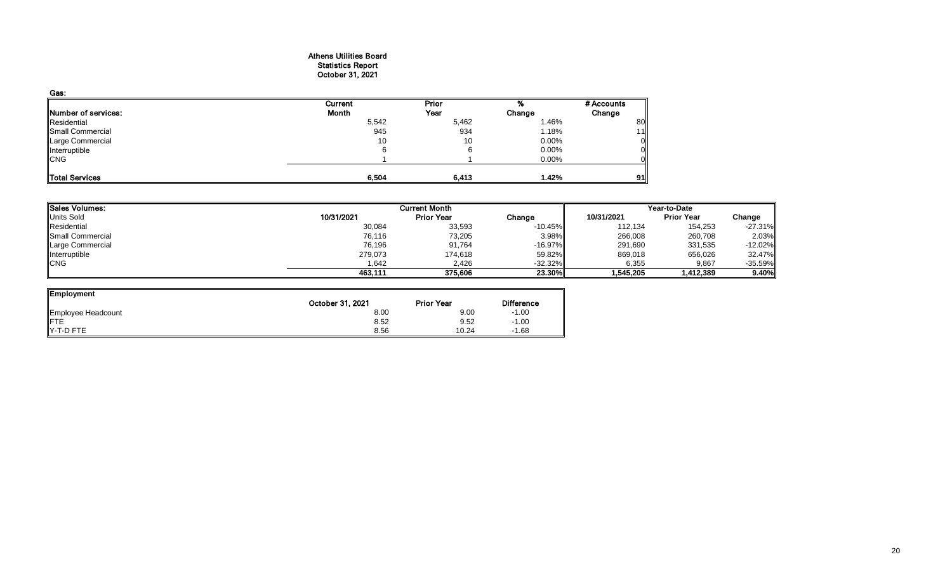## Athens Utilities Board Statistics Report October 31, 2021

| Gas:                |         |       |          |            |
|---------------------|---------|-------|----------|------------|
|                     | Current | Prior | %        | # Accounts |
| Number of services: | Month   | Year  | Change   | Change     |
| Residential         | 5,542   | 5,462 | 1.46%    | 80         |
| Small Commercial    | 945     | 934   | 1.18%    | 11         |
| Large Commercial    | 10      | 10    | 0.00%    | ΟI         |
| Interruptible       |         | 6     | $0.00\%$ | ΟI         |
| <b>CNG</b>          |         |       | 0.00%    | Οll        |
|                     |         |       |          |            |
| Total Services      | 6,504   | 6,413 | 1.42%    | 91 I       |

| Sales Volumes:    |            | <b>Current Month</b> |           | Year-to-Date |                   |            |  |
|-------------------|------------|----------------------|-----------|--------------|-------------------|------------|--|
| <b>Units Sold</b> | 10/31/2021 | <b>Prior Year</b>    | Change    | 10/31/2021   | <b>Prior Year</b> | Change     |  |
| Residential       | 30,084     | 33,593               | $-10.45%$ | 112.134      | 154,253           | $-27.31\%$ |  |
| Small Commercial  | 76,116     | 73,205               | 3.98%     | 266,008      | 260,708           | 2.03%      |  |
| Large Commercial  | 76,196     | 91,764               | $-16.97%$ | 291,690      | 331,535           | $-12.02\%$ |  |
| Interruptible     | 279,073    | 174,618              | 59.82%    | 869,018      | 656,026           | 32.47%     |  |
| <b>ICNG</b>       | 1.642      | 2.426                | $-32.32%$ | 6,355        | 9,867             | $-35.59\%$ |  |
|                   | 463.111    | 375.606              | 23.30%    | 1.545.205    | 1,412,389         | $9.40\%$   |  |

| <b>Employment</b>  |                  |                   |                   |
|--------------------|------------------|-------------------|-------------------|
|                    | October 31, 2021 | <b>Prior Year</b> | <b>Difference</b> |
| Employee Headcount | 8.00             | 9.00              | $-1.00$           |
| <b>IFTE</b>        | 8.52             | 9.52              | $-1.00$           |
| IY-T-D FTE         | 8.56             | 10.24             | $-1.68$           |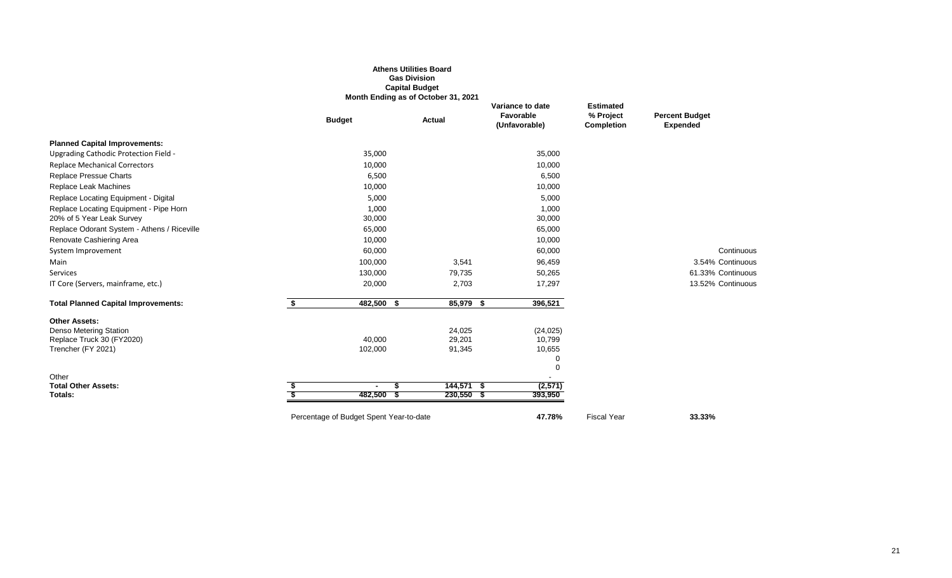|                                             |                                         | <b>Athens Utilities Board</b><br><b>Gas Division</b><br><b>Capital Budget</b><br>Month Ending as of October 31, 2021 |                                                |                                                    |                                          |
|---------------------------------------------|-----------------------------------------|----------------------------------------------------------------------------------------------------------------------|------------------------------------------------|----------------------------------------------------|------------------------------------------|
|                                             | <b>Budget</b>                           | Actual                                                                                                               | Variance to date<br>Favorable<br>(Unfavorable) | <b>Estimated</b><br>% Project<br><b>Completion</b> | <b>Percent Budget</b><br><b>Expended</b> |
| <b>Planned Capital Improvements:</b>        |                                         |                                                                                                                      |                                                |                                                    |                                          |
| Upgrading Cathodic Protection Field -       | 35,000                                  |                                                                                                                      | 35,000                                         |                                                    |                                          |
| <b>Replace Mechanical Correctors</b>        | 10,000                                  |                                                                                                                      | 10,000                                         |                                                    |                                          |
| Replace Pressue Charts                      | 6,500                                   |                                                                                                                      | 6,500                                          |                                                    |                                          |
| Replace Leak Machines                       | 10,000                                  |                                                                                                                      | 10,000                                         |                                                    |                                          |
| Replace Locating Equipment - Digital        | 5,000                                   |                                                                                                                      | 5,000                                          |                                                    |                                          |
| Replace Locating Equipment - Pipe Horn      | 1,000                                   |                                                                                                                      | 1,000                                          |                                                    |                                          |
| 20% of 5 Year Leak Survey                   | 30,000                                  |                                                                                                                      | 30,000                                         |                                                    |                                          |
| Replace Odorant System - Athens / Riceville | 65,000                                  |                                                                                                                      | 65,000                                         |                                                    |                                          |
| Renovate Cashiering Area                    | 10,000                                  |                                                                                                                      | 10,000                                         |                                                    |                                          |
| System Improvement                          | 60,000                                  |                                                                                                                      | 60,000                                         |                                                    | Continuous                               |
| Main                                        | 100,000                                 | 3,541                                                                                                                | 96,459                                         |                                                    | 3.54% Continuous                         |
| Services                                    | 130,000                                 | 79,735                                                                                                               | 50,265                                         |                                                    | 61.33% Continuous                        |
| IT Core (Servers, mainframe, etc.)          | 20,000                                  | 2,703                                                                                                                | 17,297                                         |                                                    | 13.52% Continuous                        |
| <b>Total Planned Capital Improvements:</b>  | \$<br>482,500 \$                        | 85,979 \$                                                                                                            | 396,521                                        |                                                    |                                          |
| <b>Other Assets:</b>                        |                                         |                                                                                                                      |                                                |                                                    |                                          |
| Denso Metering Station                      |                                         | 24,025                                                                                                               | (24, 025)                                      |                                                    |                                          |
| Replace Truck 30 (FY2020)                   | 40,000                                  | 29,201                                                                                                               | 10,799                                         |                                                    |                                          |
| Trencher (FY 2021)                          | 102,000                                 | 91,345                                                                                                               | 10,655<br>0                                    |                                                    |                                          |
|                                             |                                         |                                                                                                                      | $\mathbf 0$                                    |                                                    |                                          |
| Other                                       |                                         |                                                                                                                      | $\blacksquare$                                 |                                                    |                                          |
| <b>Total Other Assets:</b>                  | $\blacksquare$<br>Ъ                     | $144,571$ \$                                                                                                         | (2,571)                                        |                                                    |                                          |
| Totals:                                     | 482,500 \$                              | $230,550$ \$                                                                                                         | 393,950                                        |                                                    |                                          |
|                                             | Percentage of Budget Spent Year-to-date |                                                                                                                      | 47.78%                                         | <b>Fiscal Year</b>                                 | 33.33%                                   |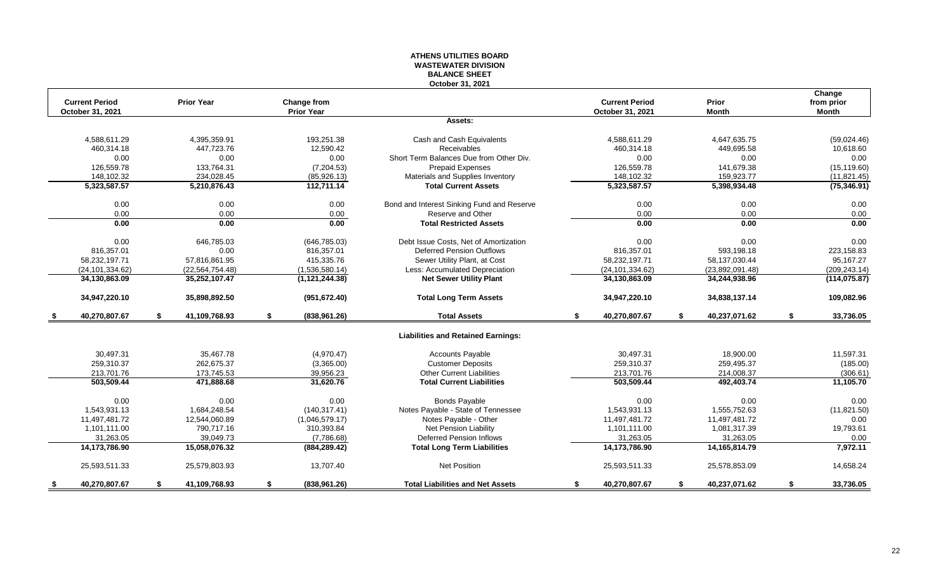#### **ATHENS UTILITIES BOARD WASTEWATER DIVISION BALANCE SHEET October 31, 2021**

| <b>Current Period</b> | <b>Prior Year</b>   | Change from         |                                            | <b>Current Period</b> | Prior               | Change<br>from prior |
|-----------------------|---------------------|---------------------|--------------------------------------------|-----------------------|---------------------|----------------------|
| October 31, 2021      |                     | <b>Prior Year</b>   |                                            | October 31, 2021      | <b>Month</b>        | <b>Month</b>         |
|                       |                     |                     | Assets:                                    |                       |                     |                      |
| 4,588,611.29          | 4,395,359.91        | 193,251.38          | Cash and Cash Equivalents                  | 4,588,611.29          | 4,647,635.75        | (59,024.46)          |
| 460,314.18            | 447,723.76          | 12,590.42           | <b>Receivables</b>                         | 460,314.18            | 449,695.58          | 10,618.60            |
| 0.00                  | 0.00                | 0.00                | Short Term Balances Due from Other Div.    | 0.00                  | 0.00                | 0.00                 |
| 126.559.78            | 133,764.31          | (7, 204.53)         | <b>Prepaid Expenses</b>                    | 126,559.78            | 141,679.38          | (15, 119.60)         |
| 148.102.32            | 234.028.45          | (85, 926.13)        | Materials and Supplies Inventory           | 148,102.32            | 159,923.77          | (11, 821.45)         |
| 5,323,587.57          | 5,210,876.43        | 112,711.14          | <b>Total Current Assets</b>                | 5,323,587.57          | 5,398,934.48        | (75, 346.91)         |
|                       |                     |                     |                                            |                       |                     |                      |
| 0.00                  | 0.00                | 0.00                | Bond and Interest Sinking Fund and Reserve | 0.00                  | 0.00                | 0.00                 |
| 0.00                  | 0.00                | 0.00                | Reserve and Other                          | 0.00                  | 0.00                | 0.00                 |
| 0.00                  | 0.00                | 0.00                | <b>Total Restricted Assets</b>             | 0.00                  | 0.00                | 0.00                 |
| 0.00                  | 646,785.03          | (646, 785.03)       | Debt Issue Costs. Net of Amortization      | 0.00                  | 0.00                | 0.00                 |
| 816,357.01            | 0.00                | 816,357.01          | <b>Deferred Pension Outflows</b>           | 816,357.01            | 593,198.18          | 223,158.83           |
| 58,232,197.71         | 57,816,861.95       | 415,335.76          | Sewer Utility Plant, at Cost               | 58,232,197.71         | 58,137,030.44       | 95,167.27            |
| (24, 101, 334.62)     | (22, 564, 754.48)   | (1,536,580.14)      | Less: Accumulated Depreciation             | (24, 101, 334.62)     | (23,892,091.48)     | (209, 243.14)        |
| 34,130,863.09         | 35,252,107.47       | (1, 121, 244.38)    | <b>Net Sewer Utility Plant</b>             | 34,130,863.09         | 34,244,938.96       | (114, 075.87)        |
|                       |                     |                     |                                            |                       |                     |                      |
| 34,947,220.10         | 35,898,892.50       | (951, 672.40)       | <b>Total Long Term Assets</b>              | 34,947,220.10         | 34,838,137.14       | 109,082.96           |
| 40,270,807.67<br>- 56 | \$<br>41,109,768.93 | \$<br>(838, 961.26) | <b>Total Assets</b>                        | \$<br>40,270,807.67   | \$<br>40,237,071.62 | \$<br>33,736.05      |
|                       |                     |                     | <b>Liabilities and Retained Earnings:</b>  |                       |                     |                      |
| 30.497.31             | 35.467.78           | (4,970.47)          | <b>Accounts Payable</b>                    | 30.497.31             | 18,900.00           | 11,597.31            |
| 259,310.37            | 262,675.37          | (3,365.00)          | <b>Customer Deposits</b>                   | 259,310.37            | 259,495.37          | (185.00)             |
| 213,701.76            | 173,745.53          | 39,956.23           | <b>Other Current Liabilities</b>           | 213,701.76            | 214,008.37          | (306.61)             |
| 503.509.44            | 471,888.68          | 31,620.76           | <b>Total Current Liabilities</b>           | 503,509.44            | 492,403.74          | 11,105.70            |
|                       |                     |                     |                                            |                       |                     |                      |
| 0.00                  | 0.00                | 0.00                | <b>Bonds Payable</b>                       | 0.00                  | 0.00                | 0.00                 |
| 1,543,931.13          | 1,684,248.54        | (140, 317.41)       | Notes Payable - State of Tennessee         | 1,543,931.13          | 1,555,752.63        | (11, 821.50)         |
| 11,497,481.72         | 12,544,060.89       | (1,046,579.17)      | Notes Payable - Other                      | 11,497,481.72         | 11,497,481.72       | 0.00                 |
| 1.101.111.00          | 790.717.16          | 310,393.84          | <b>Net Pension Liability</b>               | 1,101,111.00          | 1,081,317.39        | 19,793.61            |
| 31,263.05             | 39.049.73           | (7,786.68)          | <b>Deferred Pension Inflows</b>            | 31,263.05             | 31,263.05           | 0.00                 |
| 14,173,786.90         | 15,058,076.32       | (884, 289.42)       | <b>Total Long Term Liabilities</b>         | 14,173,786.90         | 14, 165, 814. 79    | 7,972.11             |
| 25,593,511.33         | 25,579,803.93       | 13,707.40           | Net Position                               | 25,593,511.33         | 25,578,853.09       | 14,658.24            |
| 40,270,807.67<br>S.   | \$<br>41,109,768.93 | \$<br>(838, 961.26) | <b>Total Liabilities and Net Assets</b>    | \$<br>40,270,807.67   | \$<br>40,237,071.62 | \$<br>33,736.05      |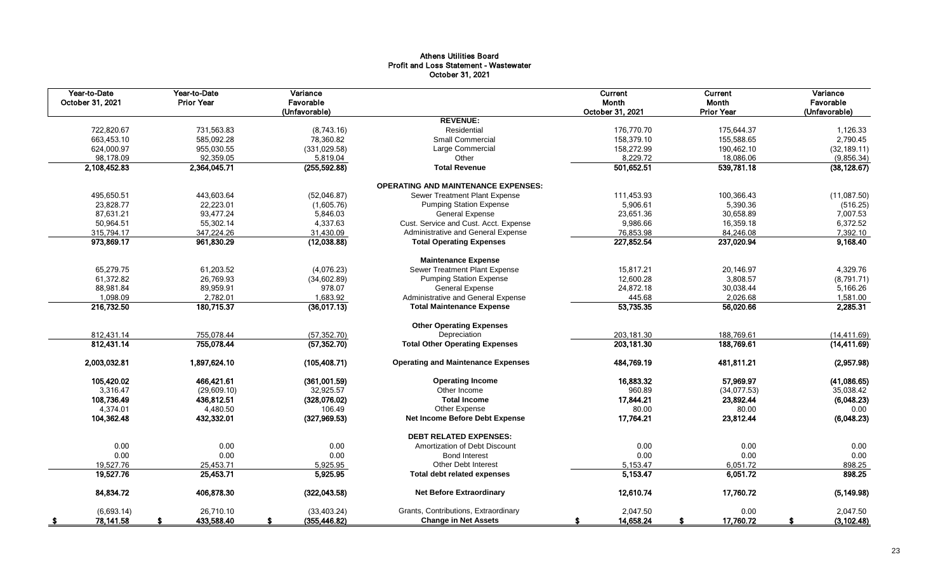## Athens Utilities Board Profit and Loss Statement - Wastewater October 31, 2021

| Year-to-Date<br>October 31, 2021 | Year-to-Date<br><b>Prior Year</b> | Variance<br>Favorable<br>(Unfavorable) |                                            | Current<br>Month<br>October 31, 2021 | Current<br>Month<br><b>Prior Year</b> | Variance<br>Favorable<br>(Unfavorable) |
|----------------------------------|-----------------------------------|----------------------------------------|--------------------------------------------|--------------------------------------|---------------------------------------|----------------------------------------|
|                                  |                                   |                                        | <b>REVENUE:</b>                            |                                      |                                       |                                        |
| 722,820.67                       | 731,563.83                        | (8,743.16)                             | Residential                                | 176,770.70                           | 175,644.37                            | 1,126.33                               |
| 663,453.10                       | 585,092.28                        | 78,360.82                              | <b>Small Commercial</b>                    | 158,379.10                           | 155,588.65                            | 2,790.45                               |
| 624,000.97                       | 955,030.55                        | (331, 029.58)                          | Large Commercial                           | 158,272.99                           | 190,462.10                            | (32, 189.11)                           |
| 98,178.09                        | 92,359.05                         | 5,819.04                               | Other                                      | 8,229.72                             | 18,086.06                             | (9,856.34)                             |
| 2,108,452.83                     | 2,364,045.71                      | (255, 592.88)                          | <b>Total Revenue</b>                       | 501,652.51                           | 539,781.18                            | (38, 128.67)                           |
|                                  |                                   |                                        | <b>OPERATING AND MAINTENANCE EXPENSES:</b> |                                      |                                       |                                        |
| 495,650.51                       | 443,603.64                        | (52,046.87)                            | Sewer Treatment Plant Expense              | 111,453.93                           | 100,366.43                            | (11,087.50)                            |
| 23,828.77                        | 22,223.01                         | (1,605.76)                             | <b>Pumping Station Expense</b>             | 5,906.61                             | 5,390.36                              | (516.25)                               |
| 87,631.21                        | 93,477.24                         | 5,846.03                               | <b>General Expense</b>                     | 23,651.36                            | 30,658.89                             | 7,007.53                               |
| 50,964.51                        | 55,302.14                         | 4,337.63                               | Cust. Service and Cust. Acct. Expense      | 9,986.66                             | 16,359.18                             | 6,372.52                               |
| 315,794.17                       | 347,224.26                        | 31,430.09                              | Administrative and General Expense         | 76,853.98                            | 84,246.08                             | 7,392.10                               |
| 973,869.17                       | 961,830.29                        | (12,038.88)                            | <b>Total Operating Expenses</b>            | 227,852.54                           | 237,020.94                            | 9,168.40                               |
|                                  |                                   |                                        | <b>Maintenance Expense</b>                 |                                      |                                       |                                        |
| 65,279.75                        | 61,203.52                         | (4,076.23)                             | Sewer Treatment Plant Expense              | 15,817.21                            | 20,146.97                             | 4,329.76                               |
| 61,372.82                        | 26,769.93                         | (34, 602.89)                           | <b>Pumping Station Expense</b>             | 12,600.28                            | 3,808.57                              | (8,791.71)                             |
| 88,981.84                        | 89,959.91                         | 978.07                                 | <b>General Expense</b>                     | 24,872.18                            | 30,038.44                             | 5,166.26                               |
| 1,098.09                         | 2,782.01                          | 1,683.92                               | Administrative and General Expense         | 445.68                               | 2,026.68                              | 1,581.00                               |
| 216,732.50                       | 180,715.37                        | (36,017.13)                            | <b>Total Maintenance Expense</b>           | 53,735.35                            | 56,020.66                             | 2,285.31                               |
|                                  |                                   |                                        | <b>Other Operating Expenses</b>            |                                      |                                       |                                        |
| 812,431.14                       | 755,078.44                        | (57, 352.70)                           | Depreciation                               | 203,181.30                           | 188,769.61                            | (14, 411.69)                           |
| 812,431.14                       | 755,078.44                        | (57, 352.70)                           | <b>Total Other Operating Expenses</b>      | 203, 181.30                          | 188,769.61                            | (14, 411.69)                           |
| 2,003,032.81                     | 1,897,624.10                      | (105, 408.71)                          | <b>Operating and Maintenance Expenses</b>  | 484,769.19                           | 481,811.21                            | (2,957.98)                             |
| 105,420.02                       | 466,421.61                        | (361,001.59)                           | <b>Operating Income</b>                    | 16,883.32                            | 57,969.97                             | (41,086.65)                            |
| 3,316.47                         | (29,609.10)                       | 32,925.57                              | Other Income                               | 960.89                               | (34,077.53)                           | 35,038.42                              |
| 108,736.49                       | 436,812.51                        | (328,076.02)                           | <b>Total Income</b>                        | 17,844.21                            | 23,892.44                             | (6,048.23)                             |
| 4,374.01                         | 4,480.50                          | 106.49                                 | Other Expense                              | 80.00                                | 80.00                                 | 0.00                                   |
| 104,362.48                       | 432,332.01                        | (327, 969.53)                          | <b>Net Income Before Debt Expense</b>      | 17,764.21                            | 23,812.44                             | (6,048.23)                             |
|                                  |                                   |                                        | <b>DEBT RELATED EXPENSES:</b>              |                                      |                                       |                                        |
| 0.00                             | 0.00                              | 0.00                                   | Amortization of Debt Discount              | 0.00                                 | 0.00                                  | 0.00                                   |
| 0.00                             | 0.00                              | 0.00                                   | <b>Bond Interest</b>                       | 0.00                                 | 0.00                                  | 0.00                                   |
| 19,527.76                        | 25,453.71                         | 5,925.95                               | Other Debt Interest                        | 5,153.47                             | 6,051.72                              | 898.25                                 |
| 19,527.76                        | 25,453.71                         | 5,925.95                               | Total debt related expenses                | 5,153.47                             | 6,051.72                              | 898.25                                 |
| 84,834.72                        | 406,878.30                        | (322, 043.58)                          | <b>Net Before Extraordinary</b>            | 12,610.74                            | 17,760.72                             | (5, 149.98)                            |
| (6,693.14)                       | 26,710.10                         | (33, 403.24)                           | Grants, Contributions, Extraordinary       | 2,047.50                             | 0.00                                  | 2,047.50                               |
| 78,141.58<br>- \$                | 433,588.40                        | (355, 446.82)<br>\$                    | <b>Change in Net Assets</b>                | 14,658.24<br>S                       | 17,760.72<br>\$                       | (3, 102.48)<br>s.                      |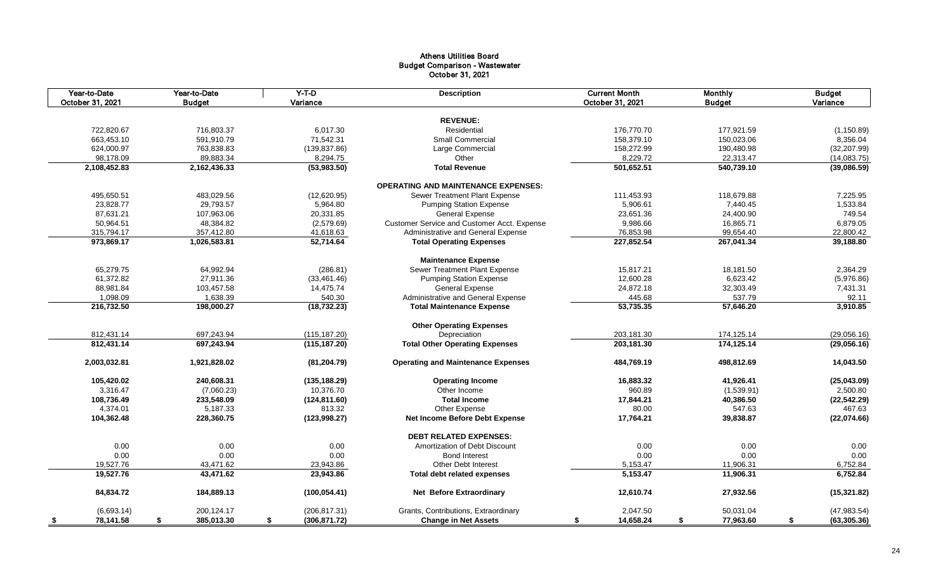## Athens Utilities Board Budget Comparison - Wastewater October 31, 2021

| Year-to-Date<br>October 31, 2021 | Year-to-Date<br><b>Budget</b> | $Y-T-D$<br>Variance | <b>Description</b>                          | <b>Current Month</b><br>October 31, 2021 | <b>Monthly</b><br><b>Budget</b> | <b>Budget</b><br>Variance |
|----------------------------------|-------------------------------|---------------------|---------------------------------------------|------------------------------------------|---------------------------------|---------------------------|
|                                  |                               |                     |                                             |                                          |                                 |                           |
|                                  |                               |                     | <b>REVENUE:</b>                             |                                          |                                 |                           |
| 722,820.67                       | 716,803.37                    | 6,017.30            | Residential                                 | 176,770.70                               | 177,921.59                      | (1, 150.89)               |
| 663,453.10                       | 591,910.79                    | 71,542.31           | Small Commercial                            | 158,379.10                               | 150,023.06                      | 8,356.04                  |
| 624,000.97                       | 763,838.83                    | (139, 837.86)       | Large Commercial                            | 158,272.99                               | 190,480.98                      | (32, 207.99)              |
| 98,178.09                        | 89,883.34                     | 8,294.75            | Other                                       | 8,229.72                                 | 22,313.47                       | (14,083.75)               |
| 2,108,452.83                     | 2,162,436.33                  | (53,983.50)         | <b>Total Revenue</b>                        | 501,652.51                               | 540,739.10                      | (39,086.59)               |
|                                  |                               |                     | <b>OPERATING AND MAINTENANCE EXPENSES:</b>  |                                          |                                 |                           |
| 495,650.51                       | 483,029.56                    | (12,620.95)         | Sewer Treatment Plant Expense               | 111,453.93                               | 118,679.88                      | 7,225.95                  |
| 23,828.77                        | 29,793.57                     | 5,964.80            | <b>Pumping Station Expense</b>              | 5,906.61                                 | 7,440.45                        | 1,533.84                  |
| 87,631.21                        | 107,963.06                    | 20,331.85           | <b>General Expense</b>                      | 23,651.36                                | 24,400.90                       | 749.54                    |
| 50,964.51                        | 48,384.82                     | (2,579.69)          | Customer Service and Customer Acct. Expense | 9,986.66                                 | 16,865.71                       | 6,879.05                  |
| 315,794.17                       | 357,412.80                    | 41,618.63           | Administrative and General Expense          | 76,853.98                                | 99,654.40                       | 22,800.42                 |
| 973,869.17                       | 1,026,583.81                  | 52.714.64           | <b>Total Operating Expenses</b>             | 227,852.54                               | 267,041.34                      | 39,188.80                 |
|                                  |                               |                     | <b>Maintenance Expense</b>                  |                                          |                                 |                           |
| 65,279.75                        | 64,992.94                     | (286.81)            | Sewer Treatment Plant Expense               | 15,817.21                                | 18,181.50                       | 2,364.29                  |
| 61,372.82                        | 27,911.36                     | (33, 461.46)        | <b>Pumping Station Expense</b>              | 12,600.28                                | 6,623.42                        | (5,976.86)                |
| 88,981.84                        | 103,457.58                    | 14,475.74           | <b>General Expense</b>                      | 24,872.18                                | 32,303.49                       | 7,431.31                  |
| 1,098.09                         | 1,638.39                      | 540.30              | Administrative and General Expense          | 445.68                                   | 537.79                          | 92.11                     |
| 216,732.50                       | 198,000.27                    | (18, 732.23)        | <b>Total Maintenance Expense</b>            | 53,735.35                                | 57,646.20                       | 3,910.85                  |
|                                  |                               |                     |                                             |                                          |                                 |                           |
|                                  |                               |                     | <b>Other Operating Expenses</b>             |                                          |                                 |                           |
| 812,431.14                       | 697,243.94                    | (115, 187.20)       | Depreciation                                | 203,181.30                               | 174,125.14                      | (29,056.16)               |
| 812,431.14                       | 697,243.94                    | (115, 187.20)       | <b>Total Other Operating Expenses</b>       | 203,181.30                               | 174,125.14                      | (29,056.16)               |
| 2,003,032.81                     | 1,921,828.02                  | (81, 204.79)        | <b>Operating and Maintenance Expenses</b>   | 484,769.19                               | 498,812.69                      | 14,043.50                 |
| 105,420.02                       | 240,608.31                    | (135, 188.29)       | <b>Operating Income</b>                     | 16,883.32                                | 41,926.41                       | (25,043.09)               |
| 3,316.47                         | (7,060.23)                    | 10,376.70           | Other Income                                | 960.89                                   | (1,539.91)                      | 2,500.80                  |
| 108,736.49                       | 233,548.09                    | (124, 811.60)       | <b>Total Income</b>                         | 17.844.21                                | 40,386.50                       | (22, 542.29)              |
| 4,374.01                         | 5,187.33                      | 813.32              | Other Expense                               | 80.00                                    | 547.63                          | 467.63                    |
| 104,362.48                       | 228,360.75                    | (123, 998.27)       | Net Income Before Debt Expense              | 17,764.21                                | 39,838.87                       | (22,074.66)               |
|                                  |                               |                     | <b>DEBT RELATED EXPENSES:</b>               |                                          |                                 |                           |
| 0.00                             | 0.00                          | 0.00                | Amortization of Debt Discount               | 0.00                                     | 0.00                            | 0.00                      |
| 0.00                             | 0.00                          | 0.00                | <b>Bond Interest</b>                        | 0.00                                     | 0.00                            | 0.00                      |
| 19,527.76                        | 43,471.62                     | 23,943.86           | <b>Other Debt Interest</b>                  | 5,153.47                                 | 11,906.31                       | 6,752.84                  |
| 19,527.76                        | 43,471.62                     | 23,943.86           | <b>Total debt related expenses</b>          | 5,153.47                                 | 11,906.31                       | 6,752.84                  |
| 84,834.72                        | 184,889.13                    | (100, 054.41)       | Net Before Extraordinary                    | 12,610.74                                | 27,932.56                       | (15, 321.82)              |
| (6,693.14)                       | 200.124.17                    | (206, 817.31)       | Grants, Contributions, Extraordinary        | 2,047.50                                 | 50,031.04                       | (47, 983.54)              |
| 78,141.58<br>S.                  | 385,013.30<br>S               | (306, 871.72)<br>\$ | <b>Change in Net Assets</b>                 | 14,658.24<br>\$                          | 77,963.60<br>\$                 | \$<br>(63, 305.36)        |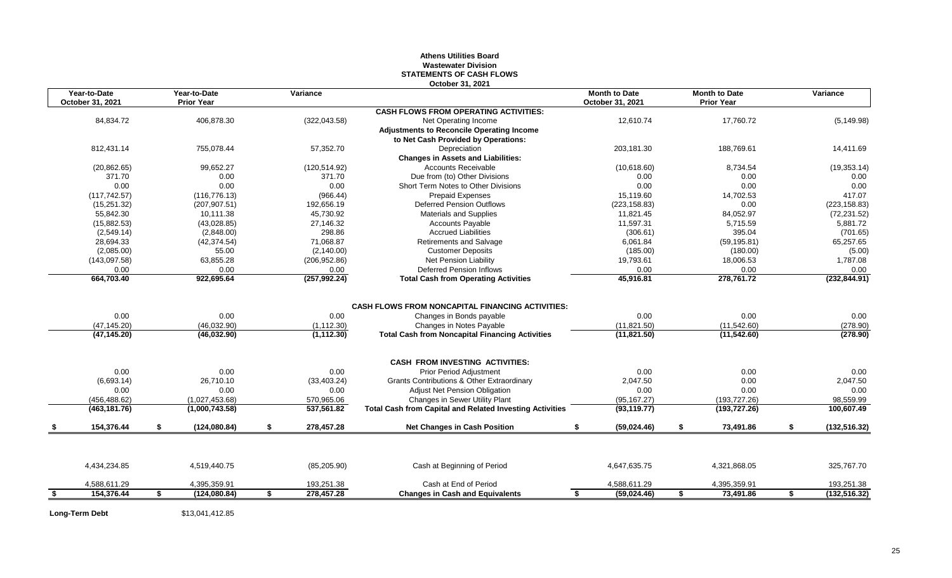#### **Athens Utilities Board Wastewater Division STATEMENTS OF CASH FLOWS October 31, 2021**

| Year-to-Date<br>October 31, 2021 |    | Year-to-Date<br><b>Prior Year</b> | Variance            | UULUWUL UT. LUL                                                                                                 | <b>Month to Date</b><br>October 31, 2021 | <b>Month to Date</b><br><b>Prior Year</b> | Variance            |
|----------------------------------|----|-----------------------------------|---------------------|-----------------------------------------------------------------------------------------------------------------|------------------------------------------|-------------------------------------------|---------------------|
|                                  |    |                                   |                     | <b>CASH FLOWS FROM OPERATING ACTIVITIES:</b>                                                                    |                                          |                                           |                     |
| 84,834.72                        |    | 406,878.30                        | (322, 043.58)       | Net Operating Income                                                                                            | 12,610.74                                | 17,760.72                                 | (5, 149.98)         |
|                                  |    |                                   |                     | <b>Adjustments to Reconcile Operating Income</b>                                                                |                                          |                                           |                     |
|                                  |    |                                   |                     | to Net Cash Provided by Operations:                                                                             |                                          |                                           |                     |
| 812,431.14                       |    | 755.078.44                        | 57,352.70           | Depreciation                                                                                                    | 203,181.30                               | 188.769.61                                | 14,411.69           |
|                                  |    |                                   |                     | <b>Changes in Assets and Liabilities:</b>                                                                       |                                          |                                           |                     |
| (20, 862.65)                     |    | 99,652.27                         | (120, 514.92)       | <b>Accounts Receivable</b>                                                                                      | (10,618.60)                              | 8,734.54                                  | (19, 353.14)        |
| 371.70                           |    | 0.00                              | 371.70              | Due from (to) Other Divisions                                                                                   | 0.00                                     | 0.00                                      | 0.00                |
| 0.00                             |    | 0.00                              | 0.00                | Short Term Notes to Other Divisions                                                                             | 0.00                                     | 0.00                                      | 0.00                |
| (117, 742.57)                    |    | (116, 776.13)                     | (966.44)            | Prepaid Expenses                                                                                                | 15,119.60                                | 14,702.53                                 | 417.07              |
| (15, 251.32)                     |    | (207, 907.51)                     | 192,656.19          | <b>Deferred Pension Outflows</b>                                                                                | (223, 158.83)                            | 0.00                                      | (223, 158.83)       |
| 55.842.30                        |    | 10.111.38                         | 45.730.92           | <b>Materials and Supplies</b>                                                                                   | 11,821.45                                | 84,052.97                                 | (72, 231.52)        |
| (15,882.53)                      |    | (43,028.85)                       | 27,146.32           | <b>Accounts Payable</b>                                                                                         | 11,597.31                                | 5,715.59                                  | 5,881.72            |
| (2,549.14)                       |    | (2,848.00)                        | 298.86              | <b>Accrued Liabilities</b>                                                                                      | (306.61)                                 | 395.04                                    | (701.65)            |
| 28,694.33                        |    | (42, 374.54)                      | 71,068.87           | Retirements and Salvage                                                                                         | 6,061.84                                 | (59, 195.81)                              | 65,257.65           |
| (2,085.00)                       |    | 55.00                             | (2, 140.00)         | <b>Customer Deposits</b>                                                                                        | (185.00)                                 | (180.00)                                  | (5.00)              |
| (143,097.58)                     |    | 63,855.28                         | (206, 952.86)       | <b>Net Pension Liability</b>                                                                                    | 19,793.61                                | 18,006.53                                 | 1,787.08            |
| 0.00                             |    | 0.00                              | 0.00                | <b>Deferred Pension Inflows</b>                                                                                 | 0.00                                     | 0.00                                      | 0.00                |
| 664,703.40                       |    | 922,695.64                        | (257, 992.24)       | <b>Total Cash from Operating Activities</b>                                                                     | 45,916.81                                | 278,761.72                                | (232, 844.91)       |
| 0.00<br>(47, 145.20)             |    | 0.00<br>(46,032.90)               | 0.00<br>(1, 112.30) | <b>CASH FLOWS FROM NONCAPITAL FINANCING ACTIVITIES:</b><br>Changes in Bonds payable<br>Changes in Notes Payable | 0.00<br>(11, 821.50)                     | 0.00<br>(11, 542.60)                      | 0.00<br>(278.90)    |
| (47, 145.20)                     |    | (46,032.90)                       | (1, 112.30)         | <b>Total Cash from Noncapital Financing Activities</b>                                                          | (11, 821.50)                             | (11,542.60)                               | (278.90)            |
|                                  |    |                                   |                     | <b>CASH FROM INVESTING ACTIVITIES:</b>                                                                          |                                          |                                           |                     |
| 0.00                             |    | 0.00                              | 0.00                | Prior Period Adjustment                                                                                         | 0.00                                     | 0.00                                      | 0.00                |
| (6,693.14)                       |    | 26.710.10                         | (33, 403.24)        | Grants Contributions & Other Extraordinary                                                                      | 2,047.50                                 | 0.00                                      | 2,047.50            |
| 0.00                             |    | 0.00                              | 0.00                | Adjust Net Pension Obligation                                                                                   | 0.00                                     | 0.00                                      | 0.00                |
| (456, 488.62)                    |    | (1,027,453.68)                    | 570,965.06          | Changes in Sewer Utility Plant                                                                                  | (95, 167.27)                             | (193, 727.26)                             | 98,559.99           |
| (463, 181.76)                    |    | (1,000,743.58)                    | 537,561.82          | <b>Total Cash from Capital and Related Investing Activities</b>                                                 | (93, 119.77)                             | (193, 727.26)                             | 100,607.49          |
| 154,376.44                       | \$ | (124,080.84)                      | \$<br>278,457.28    | Net Changes in Cash Position                                                                                    | \$<br>(59,024.46)                        | \$<br>73,491.86                           | \$<br>(132, 516.32) |
|                                  |    |                                   |                     |                                                                                                                 |                                          |                                           |                     |
| 4,434,234.85                     |    | 4,519,440.75                      | (85, 205.90)        | Cash at Beginning of Period                                                                                     | 4,647,635.75                             | 4,321,868.05                              | 325,767.70          |
| 4,588,611.29                     |    | 4,395,359.91                      | 193,251.38          | Cash at End of Period                                                                                           | 4,588,611.29                             | 4,395,359.91                              | 193,251.38          |
| 154,376.44                       | £. | (124,080.84)                      | \$<br>278,457.28    | <b>Changes in Cash and Equivalents</b>                                                                          | (59,024.46)<br>\$                        | \$<br>73,491.86                           | \$<br>(132, 516.32) |

**Long-Term Debt** \$13,041,412.85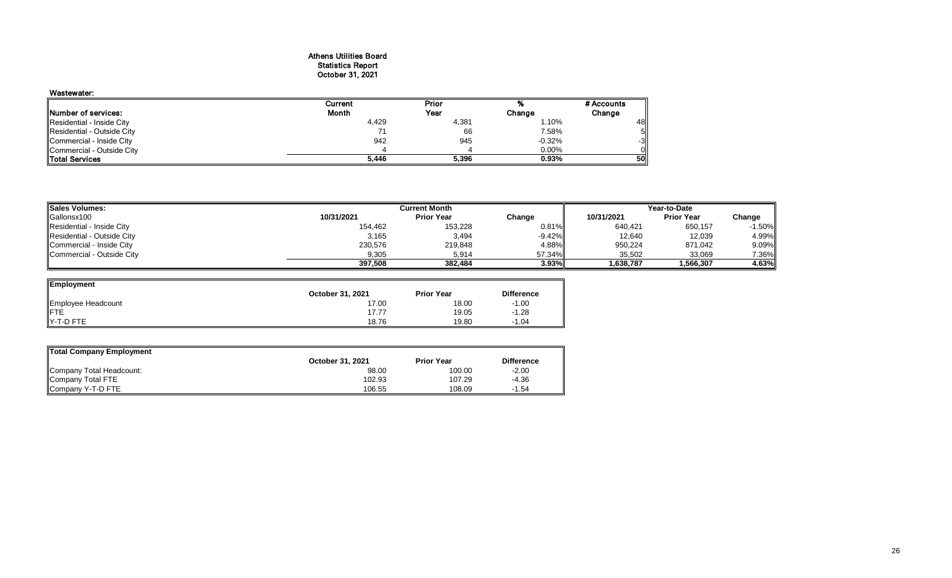## Athens Utilities Board Statistics Report October 31, 2021

### Wastewater:

|                                    | Current | Prior |          | # Accounts |
|------------------------------------|---------|-------|----------|------------|
| Number of services:                | Month   | Year  | Change   | Change     |
| Residential - Inside City          | 4,429   | 4,381 | 1.10%    | 48         |
| <b>IResidential - Outside City</b> |         | 66    | 7.58%    | 5          |
| Commercial - Inside City           | 942     | 945   | $-0.32%$ | $-3$       |
| Commercial - Outside City          |         |       | 0.00%    | ΟI         |
| <b>Total Services</b>              | 5,446   | 5,396 | 0.93%    | 50         |

| <b>Sales Volumes:</b>             |            | <b>Current Month</b> |           | Year-to-Date |                   |          |  |
|-----------------------------------|------------|----------------------|-----------|--------------|-------------------|----------|--|
| Gallonsx100                       | 10/31/2021 | <b>Prior Year</b>    | Change    | 10/31/2021   | <b>Prior Year</b> | Change   |  |
| Residential - Inside City         | 154,462    | 153,228              | $0.81\%$  | 640,421      | 650,157           | -1.50%l  |  |
| Residential - Outside City        | 3,165      | 3,494                | $-9.42\%$ | 12,640       | 12,039            | 4.99%    |  |
| Commercial - Inside City          | 230,576    | 219,848              | 4.88%     | 950,224      | 871,042           | $9.09\%$ |  |
| <b>ICommercial - Outside City</b> | 9,305      | 5,914                | 57.34%II  | 35.502       | 33.069            | 7.36%    |  |
|                                   | 397.508    | 382.484              | 3.93%     | 1,638,787    | 1,566,307         | 4.63%    |  |

| Employment         |                  |                   |                   |
|--------------------|------------------|-------------------|-------------------|
|                    | October 31, 2021 | <b>Prior Year</b> | <b>Difference</b> |
| Employee Headcount | 17.00            | 18.00             | $-1.00$           |
| <b>IFTE</b>        | 17.77            | 19.05             | $-1.28$           |
| IY-T-D FTE         | 18.76            | 19.80             | $-1.04$           |

| Total Company Employment |                  |                   |                   |
|--------------------------|------------------|-------------------|-------------------|
|                          | October 31, 2021 | <b>Prior Year</b> | <b>Difference</b> |
| Company Total Headcount: | 98.00            | 100.00            | $-2.00$           |
| Company Total FTE        | 102.93           | 107.29            | $-4.36$           |
| Company Y-T-D FTE        | 106.55           | 108.09            | $-1.54$           |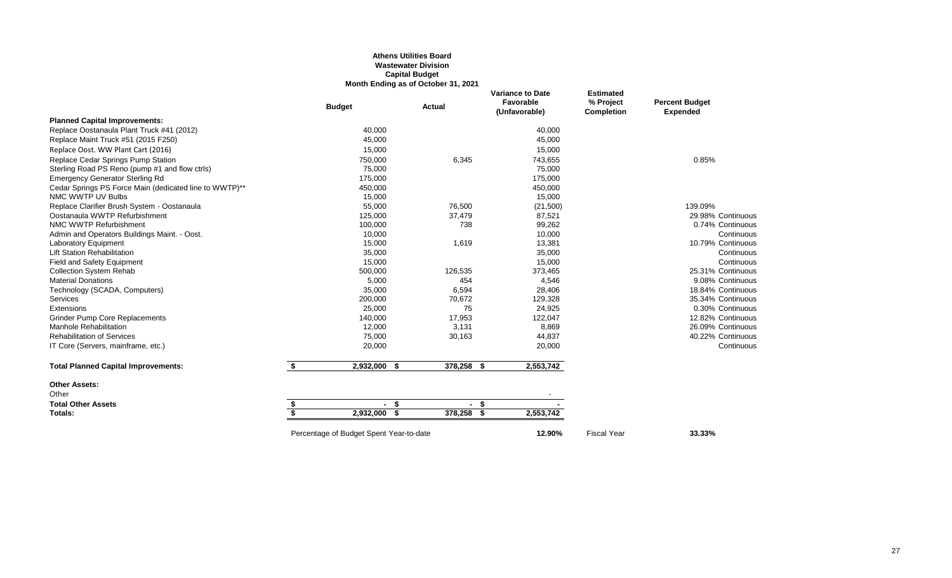#### **Athens Utilities Board Wastewater Division Capital Budget Month Ending as of October 31, 2021**

|                                                        | <b>Budget</b>   | Actual |                                                   | <b>Variance to Date</b><br>Favorable<br>(Unfavorable) | <b>Estimated</b><br>% Project<br>Completion | <b>Percent Budget</b><br><b>Expended</b> |  |  |  |  |
|--------------------------------------------------------|-----------------|--------|---------------------------------------------------|-------------------------------------------------------|---------------------------------------------|------------------------------------------|--|--|--|--|
| <b>Planned Capital Improvements:</b>                   |                 |        |                                                   |                                                       |                                             |                                          |  |  |  |  |
| Replace Oostanaula Plant Truck #41 (2012)              | 40,000          |        |                                                   | 40,000                                                |                                             |                                          |  |  |  |  |
| Replace Maint Truck #51 (2015 F250)                    | 45,000          |        |                                                   | 45,000                                                |                                             |                                          |  |  |  |  |
| Replace Oost. WW Plant Cart (2016)                     | 15,000          |        |                                                   | 15,000                                                |                                             |                                          |  |  |  |  |
| Replace Cedar Springs Pump Station                     | 750,000         |        | 6,345                                             | 743,655                                               |                                             | 0.85%                                    |  |  |  |  |
| Sterling Road PS Reno (pump #1 and flow ctrls)         | 75,000          |        |                                                   | 75,000                                                |                                             |                                          |  |  |  |  |
| <b>Emergency Generator Sterling Rd</b>                 | 175,000         |        |                                                   | 175,000                                               |                                             |                                          |  |  |  |  |
| Cedar Springs PS Force Main (dedicated line to WWTP)** | 450,000         |        |                                                   | 450,000                                               |                                             |                                          |  |  |  |  |
| NMC WWTP UV Bulbs                                      | 15,000          |        |                                                   | 15,000                                                |                                             |                                          |  |  |  |  |
| Replace Clarifier Brush System - Oostanaula            | 55,000          |        | 76,500                                            | (21,500)                                              |                                             | 139.09%                                  |  |  |  |  |
| Oostanaula WWTP Refurbishment                          | 125,000         |        | 37,479                                            | 87,521                                                |                                             | 29.98% Continuous                        |  |  |  |  |
| NMC WWTP Refurbishment                                 | 100,000         |        | 738                                               | 99,262                                                |                                             | 0.74% Continuous                         |  |  |  |  |
| Admin and Operators Buildings Maint. - Oost.           | 10,000          |        |                                                   | 10,000                                                |                                             | Continuous                               |  |  |  |  |
| Laboratory Equipment                                   | 15,000          |        | 1,619                                             | 13,381                                                |                                             | 10.79% Continuous                        |  |  |  |  |
| <b>Lift Station Rehabilitation</b>                     | 35,000          |        |                                                   | 35,000                                                |                                             | Continuous                               |  |  |  |  |
| Field and Safety Equipment                             | 15,000          |        |                                                   | 15,000                                                |                                             | Continuous                               |  |  |  |  |
| <b>Collection System Rehab</b>                         | 500,000         |        | 126,535                                           | 373,465                                               |                                             | 25.31% Continuous                        |  |  |  |  |
| <b>Material Donations</b>                              | 5,000           |        | 454                                               | 4,546                                                 |                                             | 9.08% Continuous                         |  |  |  |  |
| Technology (SCADA, Computers)                          | 35,000          |        | 6,594                                             | 28,406                                                |                                             | 18.84% Continuous                        |  |  |  |  |
| <b>Services</b>                                        | 200,000         |        | 70,672                                            | 129,328                                               |                                             | 35.34% Continuous                        |  |  |  |  |
| Extensions                                             | 25,000          |        | 75                                                | 24,925                                                |                                             | 0.30% Continuous                         |  |  |  |  |
| <b>Grinder Pump Core Replacements</b>                  | 140,000         |        | 17,953                                            | 122,047                                               |                                             | 12.82% Continuous                        |  |  |  |  |
| Manhole Rehabilitation                                 | 12,000          |        | 3,131                                             | 8,869                                                 |                                             | 26.09% Continuous                        |  |  |  |  |
| <b>Rehabilitation of Services</b>                      | 75,000          |        | 30,163                                            | 44,837                                                |                                             | 40.22% Continuous                        |  |  |  |  |
| IT Core (Servers, mainframe, etc.)                     | 20,000          |        |                                                   | 20,000                                                |                                             | Continuous                               |  |  |  |  |
| <b>Total Planned Capital Improvements:</b>             | \$<br>2,932,000 | - \$   | 378,258<br>- \$                                   | 2,553,742                                             |                                             |                                          |  |  |  |  |
| <b>Other Assets:</b>                                   |                 |        |                                                   |                                                       |                                             |                                          |  |  |  |  |
| Other                                                  |                 |        |                                                   |                                                       |                                             |                                          |  |  |  |  |
| <b>Total Other Assets</b>                              | \$<br>- \$      |        | $-$ \$                                            |                                                       |                                             |                                          |  |  |  |  |
| Totals:                                                | \$<br>2,932,000 | - \$   | 378,258<br>-\$                                    | 2,553,742                                             |                                             |                                          |  |  |  |  |
|                                                        |                 |        | Percentage of Budget Spent Year-to-date<br>12.90% |                                                       |                                             |                                          |  |  |  |  |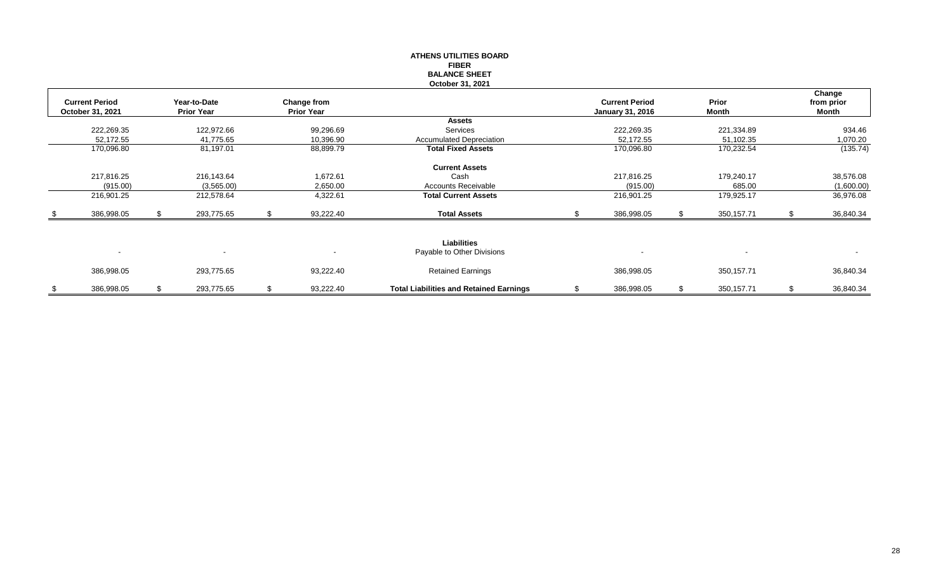|      |                          |    |                          |                   | <b>ATHENS UTILITIES BOARD</b>                  |    |                         |              |                 |
|------|--------------------------|----|--------------------------|-------------------|------------------------------------------------|----|-------------------------|--------------|-----------------|
|      |                          |    |                          |                   | <b>FIBER</b>                                   |    |                         |              |                 |
|      |                          |    |                          |                   | <b>BALANCE SHEET</b>                           |    |                         |              |                 |
|      |                          |    |                          |                   | October 31, 2021                               |    |                         |              |                 |
|      |                          |    |                          |                   |                                                |    |                         |              | Change          |
|      | <b>Current Period</b>    |    | Year-to-Date             | Change from       |                                                |    | <b>Current Period</b>   | Prior        | from prior      |
|      | October 31, 2021         |    | <b>Prior Year</b>        | <b>Prior Year</b> | <b>Assets</b>                                  |    | <b>January 31, 2016</b> | Month        | Month           |
|      |                          |    |                          |                   | Services                                       |    |                         |              |                 |
|      | 222,269.35               |    | 122,972.66               | 99,296.69         |                                                |    | 222,269.35              | 221,334.89   | 934.46          |
|      | 52,172.55                |    | 41,775.65                | 10,396.90         | <b>Accumulated Depreciation</b>                |    | 52,172.55               | 51,102.35    | 1,070.20        |
|      | 170,096.80               |    | 81,197.01                | 88,899.79         | <b>Total Fixed Assets</b>                      |    | 170,096.80              | 170,232.54   | (135.74)        |
|      |                          |    |                          |                   |                                                |    |                         |              |                 |
|      |                          |    |                          |                   | <b>Current Assets</b>                          |    |                         |              |                 |
|      | 217,816.25               |    | 216,143.64               | 1,672.61          | Cash                                           |    | 217,816.25              | 179,240.17   | 38,576.08       |
|      | (915.00)                 |    | (3,565.00)               | 2,650.00          | <b>Accounts Receivable</b>                     |    | (915.00)                | 685.00       | (1,600.00)      |
|      | 216,901.25               |    | 212,578.64               | 4,322.61          | <b>Total Current Assets</b>                    |    | 216,901.25              | 179,925.17   | 36,976.08       |
| - \$ | 386,998.05               | S. | 293,775.65               | \$<br>93,222.40   | <b>Total Assets</b>                            | £. | 386,998.05              | 350, 157.71  | 36,840.34       |
|      |                          |    |                          |                   |                                                |    |                         |              |                 |
|      |                          |    |                          |                   |                                                |    |                         |              |                 |
|      |                          |    |                          |                   | <b>Liabilities</b>                             |    |                         |              |                 |
|      | $\overline{\phantom{a}}$ |    | $\overline{\phantom{a}}$ |                   | Payable to Other Divisions                     |    |                         |              |                 |
|      |                          |    |                          |                   |                                                |    |                         |              |                 |
|      | 386,998.05               |    | 293,775.65               | 93,222.40         | <b>Retained Earnings</b>                       |    | 386,998.05              | 350, 157. 71 | 36,840.34       |
|      |                          |    |                          |                   |                                                |    |                         |              |                 |
| \$   | 386,998.05               | \$ | 293,775.65               | \$<br>93,222.40   | <b>Total Liabilities and Retained Earnings</b> | \$ | 386,998.05              | 350, 157.71  | \$<br>36,840.34 |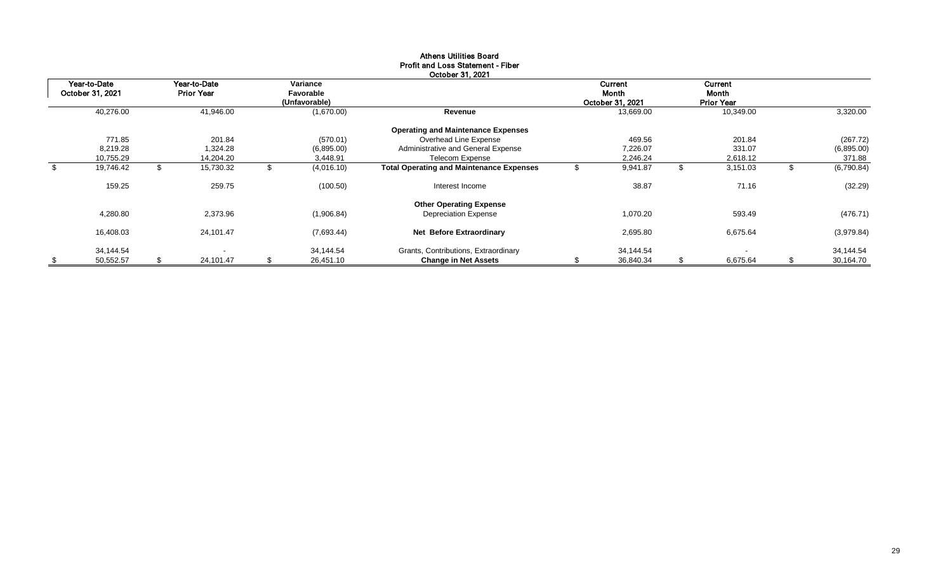|                  |     |                   |    |               | FIUII and LUSS Olatement - FIDER<br>October 31, 2021 |   |                  |                   |    |            |
|------------------|-----|-------------------|----|---------------|------------------------------------------------------|---|------------------|-------------------|----|------------|
| Year-to-Date     |     | Year-to-Date      |    | Variance      |                                                      |   | Current          | Current           |    |            |
| October 31, 2021 |     | <b>Prior Year</b> |    | Favorable     |                                                      |   | Month            | Month             |    |            |
|                  |     |                   |    | (Unfavorable) |                                                      |   | October 31, 2021 | <b>Prior Year</b> |    |            |
| 40,276.00        |     | 41,946.00         |    | (1,670.00)    | Revenue                                              |   | 13,669.00        | 10,349.00         |    | 3,320.00   |
|                  |     |                   |    |               | <b>Operating and Maintenance Expenses</b>            |   |                  |                   |    |            |
| 771.85           |     | 201.84            |    | (570.01)      | Overhead Line Expense                                |   | 469.56           | 201.84            |    | (267.72)   |
| 8,219.28         |     | 1,324.28          |    | (6,895.00)    | Administrative and General Expense                   |   | 7,226.07         | 331.07            |    | (6,895.00) |
| 10,755.29        |     | 14,204.20         |    | 3,448.91      | Telecom Expense                                      |   | 2,246.24         | 2,618.12          |    | 371.88     |
| 19,746.42        | \$. | 15,730.32         | \$ | (4,016.10)    | <b>Total Operating and Maintenance Expenses</b>      | ৬ | 9,941.87         | \$<br>3,151.03    | S  | (6,790.84) |
| 159.25           |     | 259.75            |    | (100.50)      | Interest Income                                      |   | 38.87            | 71.16             |    | (32.29)    |
|                  |     |                   |    |               | <b>Other Operating Expense</b>                       |   |                  |                   |    |            |
| 4,280.80         |     | 2,373.96          |    | (1,906.84)    | <b>Depreciation Expense</b>                          |   | 1,070.20         | 593.49            |    | (476.71)   |
| 16,408.03        |     | 24,101.47         |    | (7,693.44)    | <b>Net Before Extraordinary</b>                      |   | 2,695.80         | 6,675.64          |    | (3,979.84) |
| 34,144.54        |     |                   |    | 34,144.54     | Grants, Contributions, Extraordinary                 |   | 34,144.54        |                   |    | 34,144.54  |
| 50,552.57        | £.  | 24,101.47         | S  | 26,451.10     | <b>Change in Net Assets</b>                          |   | 36,840.34        | \$<br>6,675.64    | \$ | 30,164.70  |

## Athens Utilities Board Profit and Loss Statement - Fiber